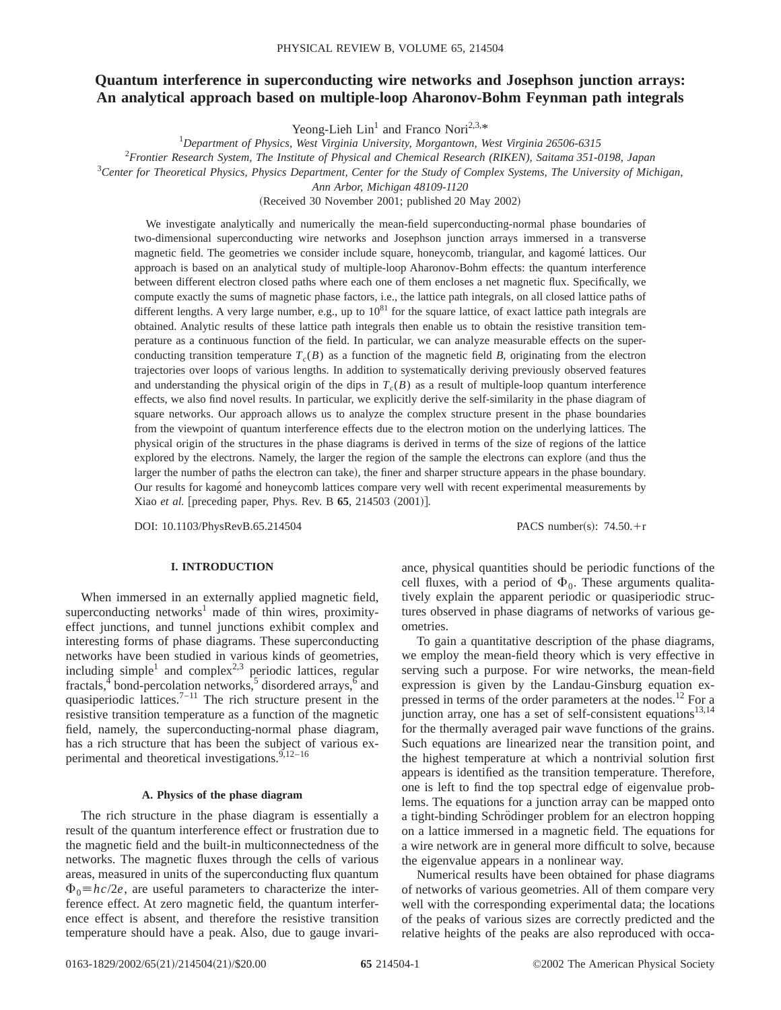# **Quantum interference in superconducting wire networks and Josephson junction arrays: An analytical approach based on multiple-loop Aharonov-Bohm Feynman path integrals**

Yeong-Lieh  $Lin<sup>1</sup>$  and Franco Nori<sup>2,3,\*</sup>

*Department of Physics, West Virginia University, Morgantown, West Virginia 26506-6315*

2 *Frontier Research System, The Institute of Physical and Chemical Research (RIKEN), Saitama 351-0198, Japan*

3 *Center for Theoretical Physics, Physics Department, Center for the Study of Complex Systems, The University of Michigan,*

*Ann Arbor, Michigan 48109-1120*

(Received 30 November 2001; published 20 May 2002)

We investigate analytically and numerically the mean-field superconducting-normal phase boundaries of two-dimensional superconducting wire networks and Josephson junction arrays immersed in a transverse magnetic field. The geometries we consider include square, honeycomb, triangular, and kagome´ lattices. Our approach is based on an analytical study of multiple-loop Aharonov-Bohm effects: the quantum interference between different electron closed paths where each one of them encloses a net magnetic flux. Specifically, we compute exactly the sums of magnetic phase factors, i.e., the lattice path integrals, on all closed lattice paths of different lengths. A very large number, e.g., up to  $10^{81}$  for the square lattice, of exact lattice path integrals are obtained. Analytic results of these lattice path integrals then enable us to obtain the resistive transition temperature as a continuous function of the field. In particular, we can analyze measurable effects on the superconducting transition temperature  $T_c(B)$  as a function of the magnetic field *B*, originating from the electron trajectories over loops of various lengths. In addition to systematically deriving previously observed features and understanding the physical origin of the dips in  $T_c(B)$  as a result of multiple-loop quantum interference effects, we also find novel results. In particular, we explicitly derive the self-similarity in the phase diagram of square networks. Our approach allows us to analyze the complex structure present in the phase boundaries from the viewpoint of quantum interference effects due to the electron motion on the underlying lattices. The physical origin of the structures in the phase diagrams is derived in terms of the size of regions of the lattice explored by the electrons. Namely, the larger the region of the sample the electrons can explore (and thus the larger the number of paths the electron can take), the finer and sharper structure appears in the phase boundary. Our results for kagome´ and honeycomb lattices compare very well with recent experimental measurements by Xiao *et al.* [preceding paper, Phys. Rev. B 65, 214503 (2001)].

DOI: 10.1103/PhysRevB.65.214504 PACS number(s): 74.50.+r

## **I. INTRODUCTION**

When immersed in an externally applied magnetic field, superconducting networks<sup>1</sup> made of thin wires, proximityeffect junctions, and tunnel junctions exhibit complex and interesting forms of phase diagrams. These superconducting networks have been studied in various kinds of geometries, including simple<sup>1</sup> and complex<sup>2,3</sup> periodic lattices, regular fractals,  $\frac{4}{3}$  bond-percolation networks,  $\frac{5}{3}$  disordered arrays,  $\frac{6}{3}$  and quasiperiodic lattices.<sup>7-11</sup> The rich structure present in the resistive transition temperature as a function of the magnetic field, namely, the superconducting-normal phase diagram, has a rich structure that has been the subject of various experimental and theoretical investigations. $9,12-16$ 

### **A. Physics of the phase diagram**

The rich structure in the phase diagram is essentially a result of the quantum interference effect or frustration due to the magnetic field and the built-in multiconnectedness of the networks. The magnetic fluxes through the cells of various areas, measured in units of the superconducting flux quantum  $\Phi_0 = hc/2e$ , are useful parameters to characterize the interference effect. At zero magnetic field, the quantum interference effect is absent, and therefore the resistive transition temperature should have a peak. Also, due to gauge invariance, physical quantities should be periodic functions of the cell fluxes, with a period of  $\Phi_0$ . These arguments qualitatively explain the apparent periodic or quasiperiodic structures observed in phase diagrams of networks of various geometries.

To gain a quantitative description of the phase diagrams, we employ the mean-field theory which is very effective in serving such a purpose. For wire networks, the mean-field expression is given by the Landau-Ginsburg equation expressed in terms of the order parameters at the nodes.<sup>12</sup> For a junction array, one has a set of self-consistent equations<sup>13,14</sup> for the thermally averaged pair wave functions of the grains. Such equations are linearized near the transition point, and the highest temperature at which a nontrivial solution first appears is identified as the transition temperature. Therefore, one is left to find the top spectral edge of eigenvalue problems. The equations for a junction array can be mapped onto a tight-binding Schrödinger problem for an electron hopping on a lattice immersed in a magnetic field. The equations for a wire network are in general more difficult to solve, because the eigenvalue appears in a nonlinear way.

Numerical results have been obtained for phase diagrams of networks of various geometries. All of them compare very well with the corresponding experimental data; the locations of the peaks of various sizes are correctly predicted and the relative heights of the peaks are also reproduced with occa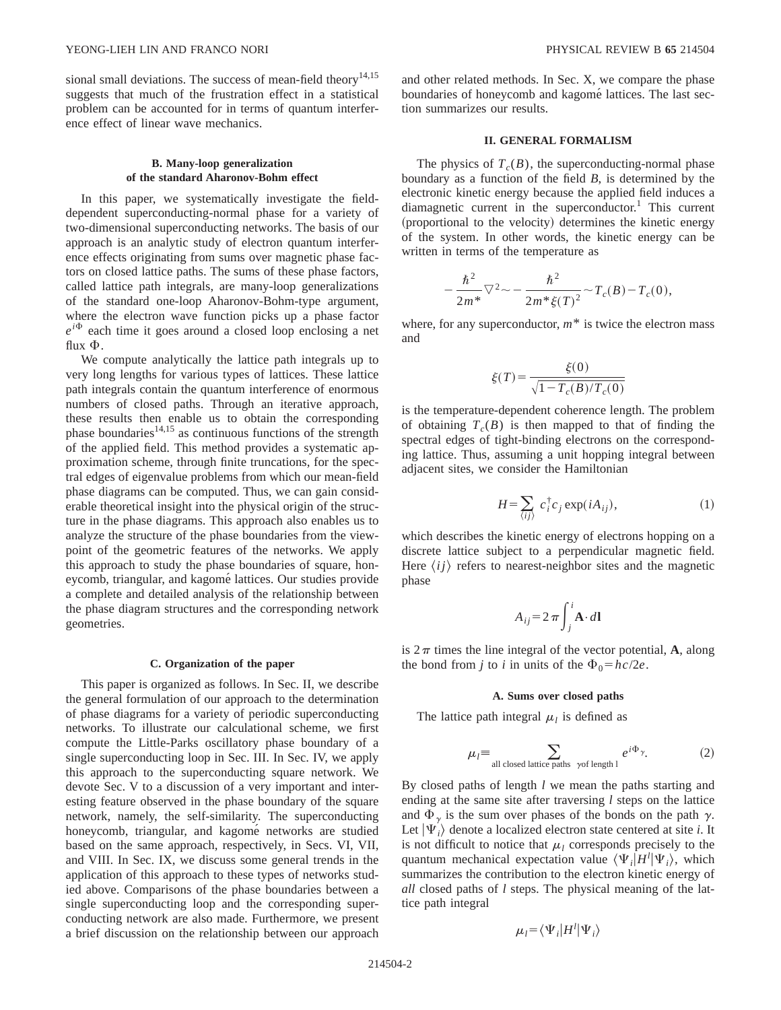sional small deviations. The success of mean-field theory<sup>14,15</sup> suggests that much of the frustration effect in a statistical problem can be accounted for in terms of quantum interference effect of linear wave mechanics.

## **B. Many-loop generalization of the standard Aharonov-Bohm effect**

In this paper, we systematically investigate the fielddependent superconducting-normal phase for a variety of two-dimensional superconducting networks. The basis of our approach is an analytic study of electron quantum interference effects originating from sums over magnetic phase factors on closed lattice paths. The sums of these phase factors, called lattice path integrals, are many-loop generalizations of the standard one-loop Aharonov-Bohm-type argument, where the electron wave function picks up a phase factor  $e^{i\Phi}$  each time it goes around a closed loop enclosing a net flux  $\Phi$ .

We compute analytically the lattice path integrals up to very long lengths for various types of lattices. These lattice path integrals contain the quantum interference of enormous numbers of closed paths. Through an iterative approach, these results then enable us to obtain the corresponding phase boundaries $^{14,15}$  as continuous functions of the strength of the applied field. This method provides a systematic approximation scheme, through finite truncations, for the spectral edges of eigenvalue problems from which our mean-field phase diagrams can be computed. Thus, we can gain considerable theoretical insight into the physical origin of the structure in the phase diagrams. This approach also enables us to analyze the structure of the phase boundaries from the viewpoint of the geometric features of the networks. We apply this approach to study the phase boundaries of square, honeycomb, triangular, and kagomé lattices. Our studies provide a complete and detailed analysis of the relationship between the phase diagram structures and the corresponding network geometries.

### **C. Organization of the paper**

This paper is organized as follows. In Sec. II, we describe the general formulation of our approach to the determination of phase diagrams for a variety of periodic superconducting networks. To illustrate our calculational scheme, we first compute the Little-Parks oscillatory phase boundary of a single superconducting loop in Sec. III. In Sec. IV, we apply this approach to the superconducting square network. We devote Sec. V to a discussion of a very important and interesting feature observed in the phase boundary of the square network, namely, the self-similarity. The superconducting honeycomb, triangular, and kagomé networks are studied based on the same approach, respectively, in Secs. VI, VII, and VIII. In Sec. IX, we discuss some general trends in the application of this approach to these types of networks studied above. Comparisons of the phase boundaries between a single superconducting loop and the corresponding superconducting network are also made. Furthermore, we present a brief discussion on the relationship between our approach

and other related methods. In Sec. X, we compare the phase boundaries of honeycomb and kagomé lattices. The last section summarizes our results.

## **II. GENERAL FORMALISM**

The physics of  $T_c(B)$ , the superconducting-normal phase boundary as a function of the field *B*, is determined by the electronic kinetic energy because the applied field induces a diamagnetic current in the superconductor.<sup>1</sup> This current (proportional to the velocity) determines the kinetic energy of the system. In other words, the kinetic energy can be written in terms of the temperature as

$$
-\frac{\hbar^2}{2m^*}\nabla^2 \sim -\frac{\hbar^2}{2m^*\xi(T)^2} \sim T_c(B) - T_c(0),
$$

where, for any superconductor,  $m^*$  is twice the electron mass and

$$
\xi(T) = \frac{\xi(0)}{\sqrt{1 - T_c(B)/T_c(0)}}
$$

is the temperature-dependent coherence length. The problem of obtaining  $T_c(B)$  is then mapped to that of finding the spectral edges of tight-binding electrons on the corresponding lattice. Thus, assuming a unit hopping integral between adjacent sites, we consider the Hamiltonian

$$
H = \sum_{\langle ij \rangle} c_i^{\dagger} c_j \exp(iA_{ij}), \tag{1}
$$

which describes the kinetic energy of electrons hopping on a discrete lattice subject to a perpendicular magnetic field. Here  $\langle ij \rangle$  refers to nearest-neighbor sites and the magnetic phase

$$
A_{ij} = 2 \pi \int_{j}^{i} \mathbf{A} \cdot d\mathbf{l}
$$

is  $2\pi$  times the line integral of the vector potential, **A**, along the bond from *j* to *i* in units of the  $\Phi_0 = hc/2e$ .

### **A. Sums over closed paths**

The lattice path integral  $\mu_l$  is defined as

$$
\mu_l \equiv \sum_{\text{all closed lattice paths }\gamma\text{ of length 1}} e^{i\Phi_{\gamma}}.
$$
 (2)

By closed paths of length *l* we mean the paths starting and ending at the same site after traversing *l* steps on the lattice and  $\Phi_{\gamma}$  is the sum over phases of the bonds on the path  $\gamma$ . Let  $|\Psi_i\rangle$  denote a localized electron state centered at site *i*. It is not difficult to notice that  $\mu_l$  corresponds precisely to the quantum mechanical expectation value  $\langle \Psi_i|H^l|\Psi_i\rangle$ , which summarizes the contribution to the electron kinetic energy of *all* closed paths of *l* steps. The physical meaning of the lattice path integral

$$
\mu_l = \langle \Psi_i | H^l | \Psi_i \rangle
$$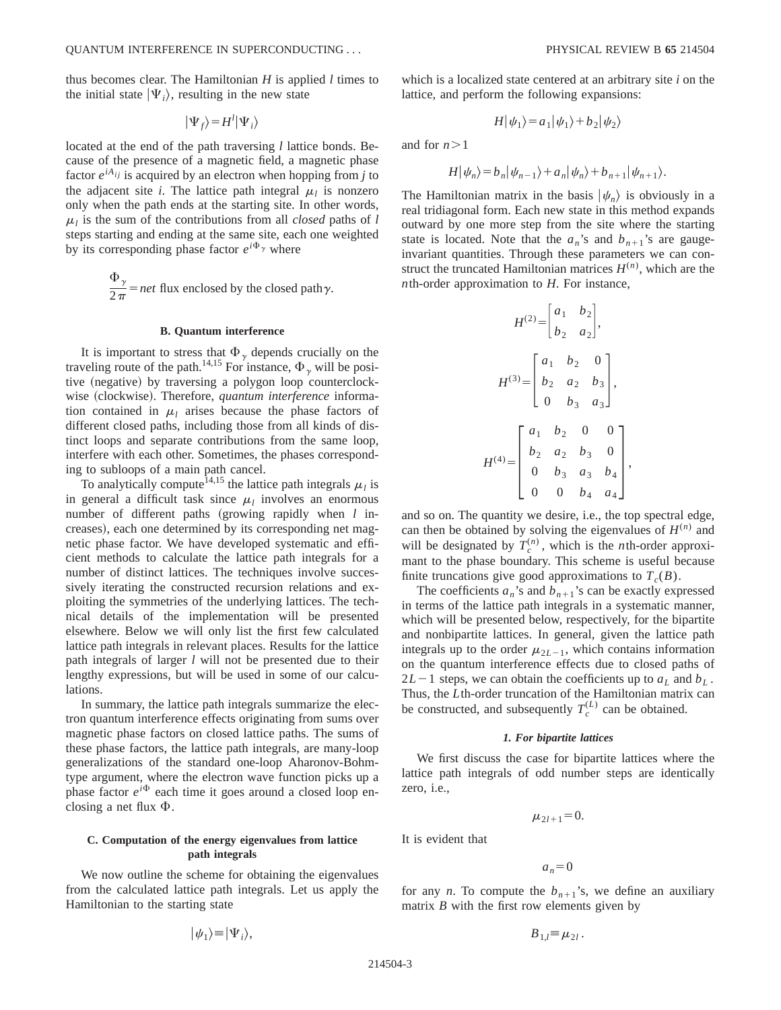thus becomes clear. The Hamiltonian *H* is applied *l* times to the initial state  $|\Psi_i\rangle$ , resulting in the new state

$$
|\Psi_f\rangle = H^l |\Psi_i\rangle
$$

located at the end of the path traversing *l* lattice bonds. Because of the presence of a magnetic field, a magnetic phase factor  $e^{iA_{ij}}$  is acquired by an electron when hopping from *j* to the adjacent site *i*. The lattice path integral  $\mu_l$  is nonzero only when the path ends at the starting site. In other words,  $\mu_l$  is the sum of the contributions from all *closed* paths of *l* steps starting and ending at the same site, each one weighted by its corresponding phase factor  $e^{i\Phi_{\gamma}}$  where

> $\Phi_{\gamma}$  $\frac{y}{2\pi}$  = *net* flux enclosed by the closed path $\gamma$ .

## **B. Quantum interference**

It is important to stress that  $\Phi_{\gamma}$  depends crucially on the traveling route of the path.<sup>14,15</sup> For instance,  $\Phi_{\gamma}$  will be positive (negative) by traversing a polygon loop counterclockwise (clockwise). Therefore, *quantum interference* information contained in  $\mu_l$  arises because the phase factors of different closed paths, including those from all kinds of distinct loops and separate contributions from the same loop, interfere with each other. Sometimes, the phases corresponding to subloops of a main path cancel.

To analytically compute<sup>14,15</sup> the lattice path integrals  $\mu_l$  is in general a difficult task since  $\mu_l$  involves an enormous number of different paths (growing rapidly when *l* increases), each one determined by its corresponding net magnetic phase factor. We have developed systematic and efficient methods to calculate the lattice path integrals for a number of distinct lattices. The techniques involve successively iterating the constructed recursion relations and exploiting the symmetries of the underlying lattices. The technical details of the implementation will be presented elsewhere. Below we will only list the first few calculated lattice path integrals in relevant places. Results for the lattice path integrals of larger *l* will not be presented due to their lengthy expressions, but will be used in some of our calculations.

In summary, the lattice path integrals summarize the electron quantum interference effects originating from sums over magnetic phase factors on closed lattice paths. The sums of these phase factors, the lattice path integrals, are many-loop generalizations of the standard one-loop Aharonov-Bohmtype argument, where the electron wave function picks up a phase factor  $e^{i\Phi}$  each time it goes around a closed loop enclosing a net flux  $\Phi$ .

## **C. Computation of the energy eigenvalues from lattice path integrals**

We now outline the scheme for obtaining the eigenvalues from the calculated lattice path integrals. Let us apply the Hamiltonian to the starting state

$$
|\psi_1\rangle = |\Psi_i\rangle,
$$

which is a localized state centered at an arbitrary site *i* on the lattice, and perform the following expansions:

$$
H|\psi_1\rangle = a_1|\psi_1\rangle + b_2|\psi_2\rangle
$$

and for  $n>1$ 

$$
H|\psi_n\rangle = b_n|\psi_{n-1}\rangle + a_n|\psi_n\rangle + b_{n+1}|\psi_{n+1}\rangle.
$$

The Hamiltonian matrix in the basis  $|\psi_n\rangle$  is obviously in a real tridiagonal form. Each new state in this method expands outward by one more step from the site where the starting state is located. Note that the  $a_n$ 's and  $b_{n+1}$ 's are gaugeinvariant quantities. Through these parameters we can construct the truncated Hamiltonian matrices  $H^{(n)}$ , which are the *n*th-order approximation to *H*. For instance,

$$
H^{(2)} = \begin{bmatrix} a_1 & b_2 \\ b_2 & a_2 \end{bmatrix},
$$

$$
H^{(3)} = \begin{bmatrix} a_1 & b_2 & 0 \\ b_2 & a_2 & b_3 \\ 0 & b_3 & a_3 \end{bmatrix},
$$

$$
H^{(4)} = \begin{bmatrix} a_1 & b_2 & 0 & 0 \\ b_2 & a_2 & b_3 & 0 \\ 0 & b_3 & a_3 & b_4 \\ 0 & 0 & b_4 & a_4 \end{bmatrix},
$$

and so on. The quantity we desire, i.e., the top spectral edge, can then be obtained by solving the eigenvalues of  $H^{(n)}$  and will be designated by  $T_c^{(n)}$ , which is the *n*th-order approximant to the phase boundary. This scheme is useful because finite truncations give good approximations to  $T_c(B)$ .

The coefficients  $a_n$ 's and  $b_{n+1}$ 's can be exactly expressed in terms of the lattice path integrals in a systematic manner, which will be presented below, respectively, for the bipartite and nonbipartite lattices. In general, given the lattice path integrals up to the order  $\mu_{2L-1}$ , which contains information on the quantum interference effects due to closed paths of  $2L-1$  steps, we can obtain the coefficients up to  $a<sub>L</sub>$  and  $b<sub>L</sub>$ . Thus, the *L*th-order truncation of the Hamiltonian matrix can be constructed, and subsequently  $T_c^{(L)}$  can be obtained.

### *1. For bipartite lattices*

We first discuss the case for bipartite lattices where the lattice path integrals of odd number steps are identically zero, i.e.,

$$
\mu_{2l+1}=0.
$$

for any *n*. To compute the  $b_{n+1}$ 's, we define an auxiliary matrix *B* with the first row elements given by

 $a_n=0$ 

$$
B_{1,l} = \mu_{2l}.
$$

It is evident that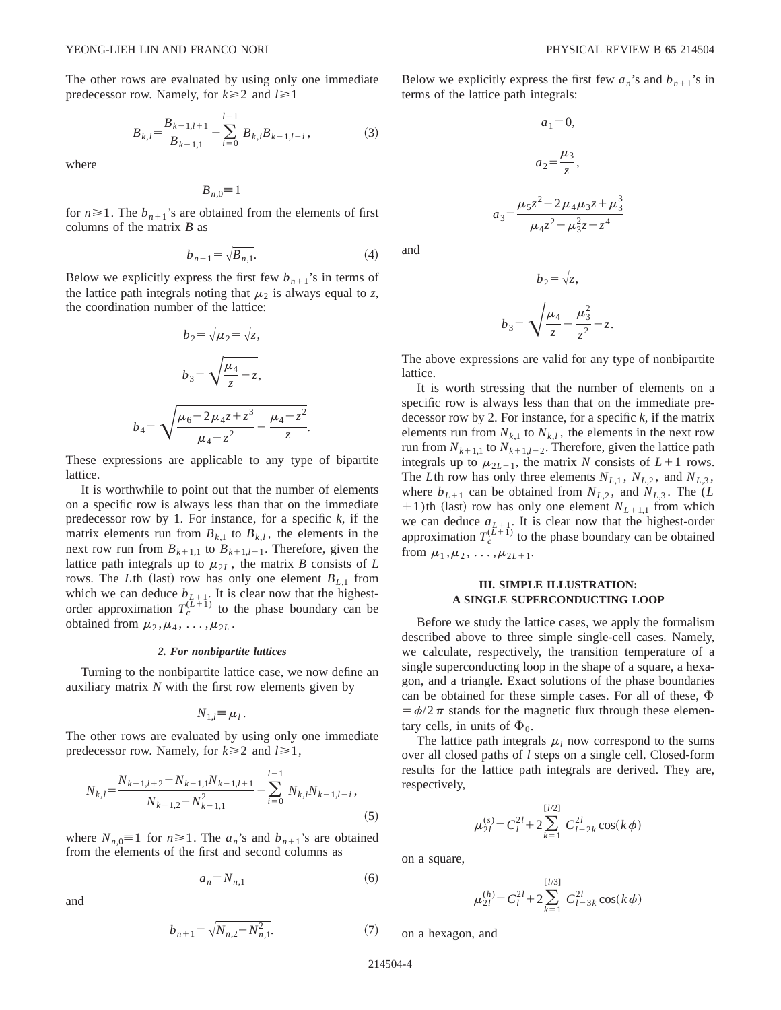$$
B_{k,l} = \frac{B_{k-1,l+1}}{B_{k-1,1}} - \sum_{i=0}^{l-1} B_{k,i} B_{k-1,l-i},
$$
 (3)

where

$$
B_{n,0} = 1
$$

for  $n \ge 1$ . The  $b_{n+1}$ 's are obtained from the elements of first columns of the matrix *B* as

$$
b_{n+1} = \sqrt{B_{n,1}}.\tag{4}
$$

Below we explicitly express the first few  $b_{n+1}$ 's in terms of the lattice path integrals noting that  $\mu_2$  is always equal to *z*, the coordination number of the lattice:

$$
b_2 = \sqrt{\mu_2} = \sqrt{z},
$$
  
\n
$$
b_3 = \sqrt{\frac{\mu_4}{z} - z},
$$
  
\n
$$
b_4 = \sqrt{\frac{\mu_6 - 2\mu_4 z + z^3}{\mu_4 - z^2} - \frac{\mu_4 - z^2}{z}}.
$$

These expressions are applicable to any type of bipartite lattice.

It is worthwhile to point out that the number of elements on a specific row is always less than that on the immediate predecessor row by 1. For instance, for a specific *k*, if the matrix elements run from  $B_{k,1}$  to  $B_{k,l}$ , the elements in the next row run from  $B_{k+1,1}$  to  $B_{k+1,l-1}$ . Therefore, given the lattice path integrals up to  $\mu_{2L}$ , the matrix *B* consists of *L* rows. The *L*th (last) row has only one element  $B_{L,1}$  from which we can deduce  $b_{L+1}$ . It is clear now that the highestorder approximation  $T_c^{(\bar{L}+1)}$  to the phase boundary can be obtained from  $\mu_2, \mu_4, \ldots, \mu_{2L}$ .

### *2. For nonbipartite lattices*

Turning to the nonbipartite lattice case, we now define an auxiliary matrix *N* with the first row elements given by

$$
N_{1,l} = \mu_l.
$$

The other rows are evaluated by using only one immediate predecessor row. Namely, for  $k \ge 2$  and  $l \ge 1$ ,

$$
N_{k,l} = \frac{N_{k-1,l+2} - N_{k-1,l}N_{k-1,l+1}}{N_{k-1,2} - N_{k-1,1}^2} - \sum_{i=0}^{l-1} N_{k,i}N_{k-1,l-i},
$$
\n(5)

where  $N_{n,0} \equiv 1$  for  $n \ge 1$ . The  $a_n$ 's and  $b_{n+1}$ 's are obtained from the elements of the first and second columns as

$$
a_n = N_{n,1} \tag{6}
$$

and

$$
b_{n+1} = \sqrt{N_{n,2} - N_{n,1}^2}.\tag{7}
$$

Below we explicitly express the first few  $a_n$ 's and  $b_{n+1}$ 's in terms of the lattice path integrals:

$$
a_1 = 0,
$$
  
\n
$$
a_2 = \frac{\mu_3}{z},
$$
  
\n
$$
a_3 = \frac{\mu_5 z^2 - 2\mu_4 \mu_3 z + \mu_3^3}{\mu_4 z^2 - \mu_3^2 z - z^4}
$$

and

$$
b_2 = \sqrt{z},
$$
  

$$
b_3 = \sqrt{\frac{\mu_4}{z} - \frac{\mu_3^2}{z^2}} - z.
$$

The above expressions are valid for any type of nonbipartite lattice.

It is worth stressing that the number of elements on a specific row is always less than that on the immediate predecessor row by 2. For instance, for a specific *k*, if the matrix elements run from  $N_{k,1}$  to  $N_{k,l}$ , the elements in the next row run from  $N_{k+1,1}$  to  $N_{k+1,l-2}$ . Therefore, given the lattice path integrals up to  $\mu_{2L+1}$ , the matrix *N* consists of  $L+1$  rows. The *L*th row has only three elements  $N_{L,1}$ ,  $N_{L,2}$ , and  $N_{L,3}$ , where  $b_{L+1}$  can be obtained from  $N_{L,2}$ , and  $N_{L,3}$ . The (*L*  $+1$ )th (last) row has only one element  $N_{L+1,1}$  from which we can deduce  $a_{L+1}$ . It is clear now that the highest-order approximation  $T_c^{(L+1)}$  to the phase boundary can be obtained from  $\mu_1, \mu_2, \ldots, \mu_{2L+1}$ .

## **III. SIMPLE ILLUSTRATION: A SINGLE SUPERCONDUCTING LOOP**

Before we study the lattice cases, we apply the formalism described above to three simple single-cell cases. Namely, we calculate, respectively, the transition temperature of a single superconducting loop in the shape of a square, a hexagon, and a triangle. Exact solutions of the phase boundaries can be obtained for these simple cases. For all of these,  $\Phi$  $= \phi/2\pi$  stands for the magnetic flux through these elementary cells, in units of  $\Phi_0$ .

The lattice path integrals  $\mu_l$  now correspond to the sums over all closed paths of *l* steps on a single cell. Closed-form results for the lattice path integrals are derived. They are, respectively,

$$
\mu_{2l}^{(s)} = C_l^{2l} + 2 \sum_{k=1}^{[l/2]} C_{l-2k}^{2l} \cos(k\phi)
$$

on a square,

$$
\mu_{2l}^{(h)} = C_l^{2l} + 2 \sum_{k=1}^{[l/3]} C_{l-3k}^{2l} \cos(k\phi)
$$

on a hexagon, and

214504-4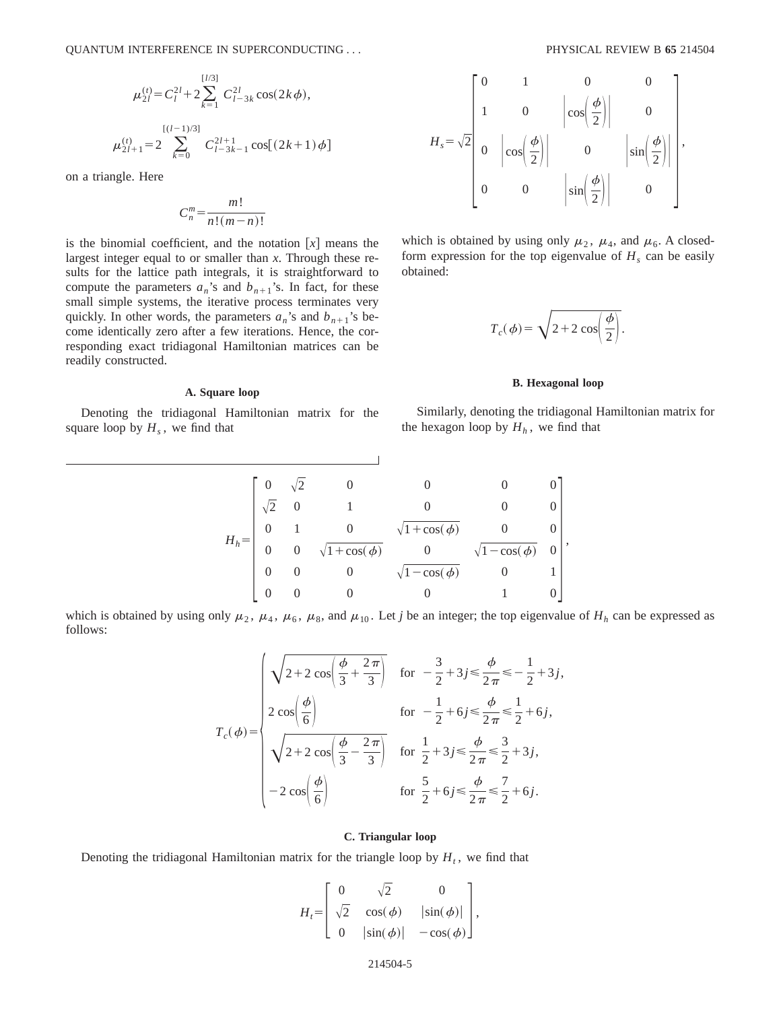$$
\mu_{2l}^{(t)} = C_l^{2l} + 2 \sum_{k=1}^{[l/3]} C_{l-3k}^{2l} \cos(2k\phi),
$$
  

$$
\mu_{2l+1}^{(l)} = 2 \sum_{k=0}^{[(l-1)/3]} C_{l-3k-1}^{2l+1} \cos[(2k+1)\phi]
$$

on a triangle. Here

$$
C_n^m = \frac{m!}{n!(m-n)!}
$$

is the binomial coefficient, and the notation  $[x]$  means the largest integer equal to or smaller than *x*. Through these results for the lattice path integrals, it is straightforward to compute the parameters  $a_n$ 's and  $b_{n+1}$ 's. In fact, for these small simple systems, the iterative process terminates very quickly. In other words, the parameters  $a_n$ 's and  $b_{n+1}$ 's become identically zero after a few iterations. Hence, the corresponding exact tridiagonal Hamiltonian matrices can be readily constructed.

### **A. Square loop**

Denoting the tridiagonal Hamiltonian matrix for the square loop by  $H_s$ , we find that

$$
H_s = \sqrt{2} \begin{bmatrix} 0 & 1 & 0 & 0 \\ 1 & 0 & \left| \cos\left(\frac{\phi}{2}\right) \right| & 0 \\ 0 & \left| \cos\left(\frac{\phi}{2}\right) \right| & 0 & \left| \sin\left(\frac{\phi}{2}\right) \right| \\ 0 & 0 & \left| \sin\left(\frac{\phi}{2}\right) \right| & 0 \end{bmatrix},
$$

which is obtained by using only  $\mu_2$ ,  $\mu_4$ , and  $\mu_6$ . A closedform expression for the top eigenvalue of  $H_s$  can be easily obtained:

$$
T_c(\phi) = \sqrt{2 + 2 \cos\left(\frac{\phi}{2}\right)}.
$$

### **B. Hexagonal loop**

Similarly, denoting the tridiagonal Hamiltonian matrix for the hexagon loop by  $H_h$ , we find that

| $H_h =$ |                |                |                         |                         |               |   |  |
|---------|----------------|----------------|-------------------------|-------------------------|---------------|---|--|
|         | $\sqrt{2}$     | $\overline{0}$ |                         |                         |               |   |  |
|         | $\overline{0}$ |                |                         | $\sqrt{1 + \cos(\phi)}$ |               |   |  |
|         | $\overline{0}$ |                | $\sqrt{1 + \cos(\phi)}$ |                         | $-\cos(\phi)$ | 0 |  |
|         | $\Omega$       |                | $\theta$                | $\sqrt{1-\cos(\phi)}$   | $\theta$      |   |  |
|         |                |                |                         |                         |               |   |  |

which is obtained by using only  $\mu_2$ ,  $\mu_4$ ,  $\mu_6$ ,  $\mu_8$ , and  $\mu_{10}$ . Let *j* be an integer; the top eigenvalue of  $H_h$  can be expressed as follows:

$$
T_c(\phi) = \begin{cases} \sqrt{2 + 2\cos\left(\frac{\phi}{3} + \frac{2\pi}{3}\right)} & \text{for } -\frac{3}{2} + 3j \le \frac{\phi}{2\pi} \le -\frac{1}{2} + 3j, \\ 2\cos\left(\frac{\phi}{6}\right) & \text{for } -\frac{1}{2} + 6j \le \frac{\phi}{2\pi} \le \frac{1}{2} + 6j, \\ \sqrt{2 + 2\cos\left(\frac{\phi}{3} - \frac{2\pi}{3}\right)} & \text{for } \frac{1}{2} + 3j \le \frac{\phi}{2\pi} \le \frac{3}{2} + 3j, \\ -2\cos\left(\frac{\phi}{6}\right) & \text{for } \frac{5}{2} + 6j \le \frac{\phi}{2\pi} \le \frac{7}{2} + 6j. \end{cases}
$$

### **C. Triangular loop**

Denoting the tridiagonal Hamiltonian matrix for the triangle loop by  $H_t$ , we find that

$$
H_{t} = \begin{bmatrix} 0 & \sqrt{2} & 0 \\ \sqrt{2} & \cos(\phi) & |\sin(\phi)| \\ 0 & |\sin(\phi)| & -\cos(\phi) \end{bmatrix},
$$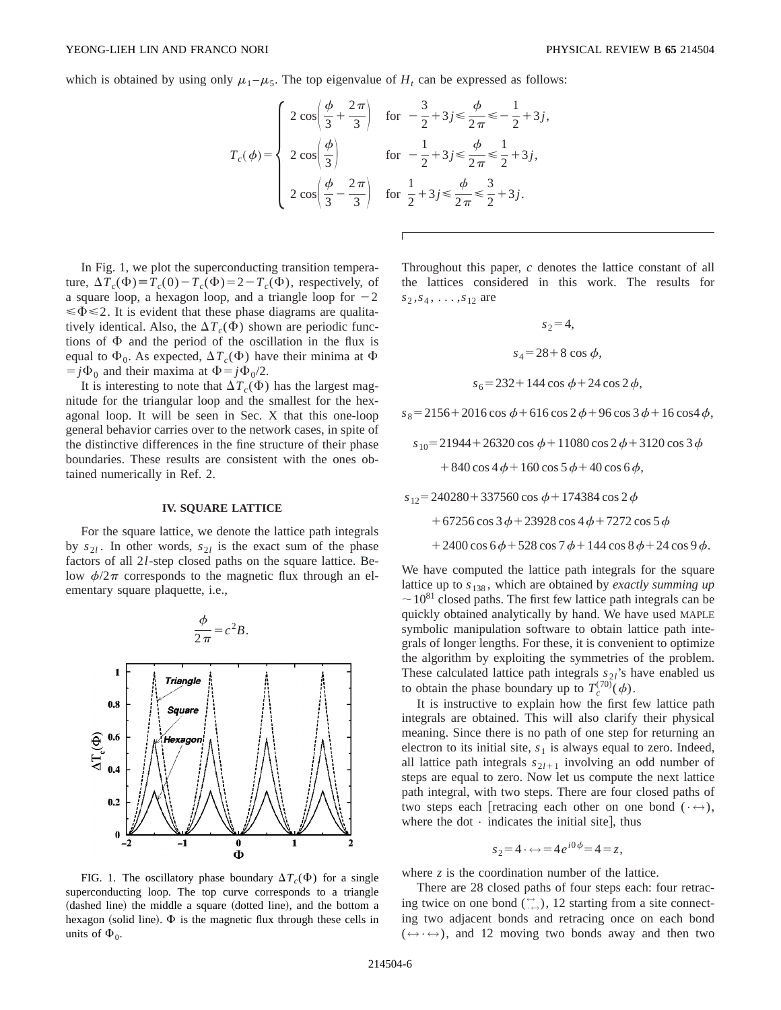which is obtained by using only  $\mu_1 - \mu_5$ . The top eigenvalue of  $H_t$  can be expressed as follows:

$$
T_c(\phi) = \begin{cases} 2\cos\left(\frac{\phi}{3} + \frac{2\pi}{3}\right) & \text{for } -\frac{3}{2} + 3j \le \frac{\phi}{2\pi} \le -\frac{1}{2} + 3j, \\ 2\cos\left(\frac{\phi}{3}\right) & \text{for } -\frac{1}{2} + 3j \le \frac{\phi}{2\pi} \le \frac{1}{2} + 3j, \\ 2\cos\left(\frac{\phi}{3} - \frac{2\pi}{3}\right) & \text{for } \frac{1}{2} + 3j \le \frac{\phi}{2\pi} \le \frac{3}{2} + 3j. \end{cases}
$$

In Fig. 1, we plot the superconducting transition temperature,  $\Delta T_c(\Phi) \equiv T_c(0) - T_c(\Phi) = 2 - T_c(\Phi)$ , respectively, of a square loop, a hexagon loop, and a triangle loop for  $-2$  $\leq \Phi \leq 2$ . It is evident that these phase diagrams are qualitatively identical. Also, the  $\Delta T_c(\Phi)$  shown are periodic functions of  $\Phi$  and the period of the oscillation in the flux is equal to  $\Phi_0$ . As expected,  $\Delta T_c(\Phi)$  have their minima at  $\Phi$  $j\Phi_0$  and their maxima at  $\Phi = j\Phi_0/2$ .

It is interesting to note that  $\Delta T_c(\Phi)$  has the largest magnitude for the triangular loop and the smallest for the hexagonal loop. It will be seen in Sec. X that this one-loop general behavior carries over to the network cases, in spite of the distinctive differences in the fine structure of their phase boundaries. These results are consistent with the ones obtained numerically in Ref. 2.

#### **IV. SQUARE LATTICE**

For the square lattice, we denote the lattice path integrals by  $s_{2l}$ . In other words,  $s_{2l}$  is the exact sum of the phase factors of all 2*l*-step closed paths on the square lattice. Below  $\phi/2\pi$  corresponds to the magnetic flux through an elementary square plaquette, i.e.,



FIG. 1. The oscillatory phase boundary  $\Delta T_c(\Phi)$  for a single superconducting loop. The top curve corresponds to a triangle (dashed line) the middle a square (dotted line), and the bottom a hexagon (solid line).  $\Phi$  is the magnetic flux through these cells in units of  $\Phi_0$ .

Throughout this paper, *c* denotes the lattice constant of all the lattices considered in this work. The results for  $s_2, s_4, \ldots, s_{12}$  are

$$
s_2 = 4,
$$
  
\n
$$
s_4 = 28 + 8 \cos \phi,
$$
  
\n
$$
s_6 = 232 + 144 \cos \phi + 24 \cos 2 \phi,
$$

 $s_8 = 2156 + 2016 \cos \phi + 616 \cos 2 \phi + 96 \cos 3 \phi + 16 \cos 4 \phi$ ,

$$
s_{10} = 21944 + 26320 \cos \phi + 11080 \cos 2 \phi + 3120 \cos 3 \phi
$$
  
+ 840 \cos 4 \phi + 160 \cos 5 \phi + 40 \cos 6 \phi,

$$
s_{12} = 240280 + 337560 \cos \phi + 174384 \cos 2 \phi
$$

$$
+ 67256 \cos 3 \phi + 23928 \cos 4 \phi + 7272 \cos 5 \phi
$$

 $+2400 \cos 6\phi + 528 \cos 7\phi + 144 \cos 8\phi + 24 \cos 9\phi.$ 

We have computed the lattice path integrals for the square lattice up to *s*<sup>138</sup> , which are obtained by *exactly summing up*  $\sim$  10<sup>81</sup> closed paths. The first few lattice path integrals can be quickly obtained analytically by hand. We have used MAPLE symbolic manipulation software to obtain lattice path integrals of longer lengths. For these, it is convenient to optimize the algorithm by exploiting the symmetries of the problem. These calculated lattice path integrals  $s_{2l}$ 's have enabled us to obtain the phase boundary up to  $T_c^{(70)}(\phi)$ .

It is instructive to explain how the first few lattice path integrals are obtained. This will also clarify their physical meaning. Since there is no path of one step for returning an electron to its initial site,  $s_1$  is always equal to zero. Indeed, all lattice path integrals  $s_{2l+1}$  involving an odd number of steps are equal to zero. Now let us compute the next lattice path integral, with two steps. There are four closed paths of two steps each [retracing each other on one bond ( $\cdot \leftrightarrow$ ), where the dot  $\cdot$  indicates the initial site], thus

$$
s_2=4 \cdot \leftrightarrow =4e^{i0\phi}=4=z,
$$

where *z* is the coordination number of the lattice.

There are 28 closed paths of four steps each: four retracing twice on one bond  $(\cdot, \cdot)$ , 12 starting from a site connecting two adjacent bonds and retracing once on each bond  $(\leftrightarrow \leftrightarrow)$ , and 12 moving two bonds away and then two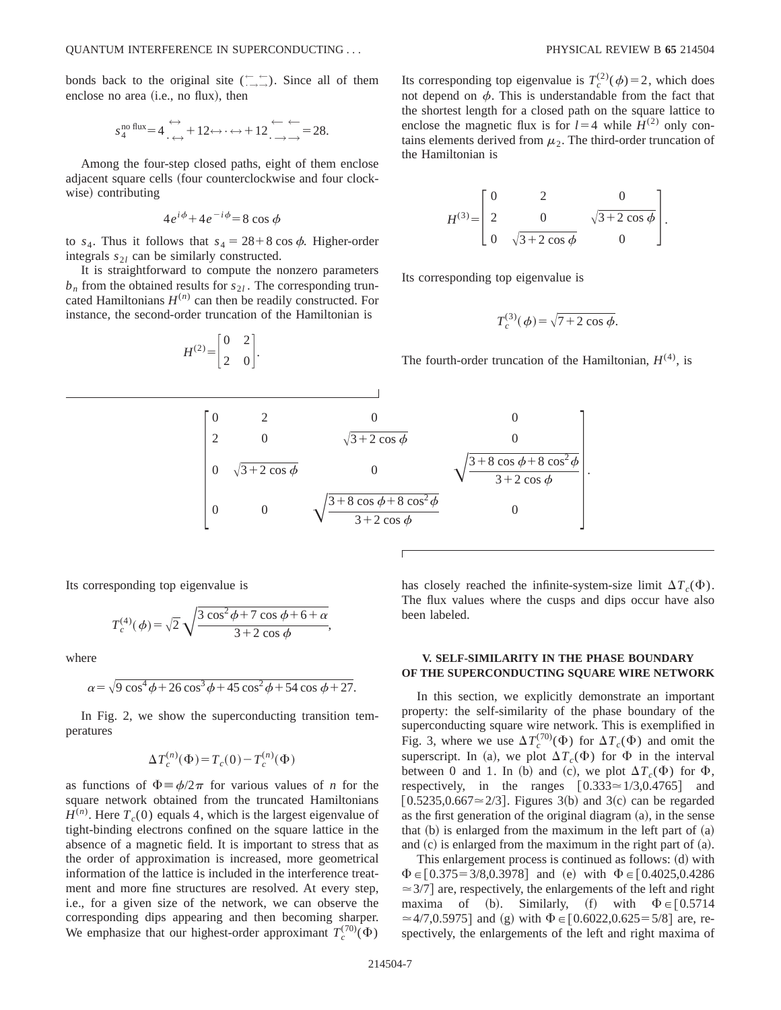bonds back to the original site  $(\overline{\phantom{a}})$ . Since all of them enclose no area  $(i.e., no flux)$ , then

$$
s_4^{\text{no flux}} = 4 \xrightarrow{\leftrightarrow} +12 \leftrightarrow \cdot \leftrightarrow +12 \xrightarrow{\leftarrow} = 28.
$$

Among the four-step closed paths, eight of them enclose adjacent square cells (four counterclockwise and four clockwise) contributing

$$
4e^{i\phi} + 4e^{-i\phi} = 8\cos\phi
$$

to  $s_4$ . Thus it follows that  $s_4 = 28 + 8 \cos \phi$ . Higher-order integrals  $s_{2l}$  can be similarly constructed.

It is straightforward to compute the nonzero parameters  $b_n$  from the obtained results for  $s_{2l}$ . The corresponding truncated Hamiltonians  $H^{(n)}$  can then be readily constructed. For instance, the second-order truncation of the Hamiltonian is

$$
H^{(2)} = \begin{bmatrix} 0 & 2 \\ 2 & 0 \end{bmatrix}.
$$

Its corresponding top eigenvalue is  $T_c^{(2)}(\phi)=2$ , which does not depend on  $\phi$ . This is understandable from the fact that the shortest length for a closed path on the square lattice to enclose the magnetic flux is for  $l=4$  while  $H^{(2)}$  only contains elements derived from  $\mu_2$ . The third-order truncation of the Hamiltonian is

$$
H^{(3)} = \begin{bmatrix} 0 & 2 & 0 \\ 2 & 0 & \sqrt{3 + 2 \cos \phi} \\ 0 & \sqrt{3 + 2 \cos \phi} & 0 \end{bmatrix}.
$$

Its corresponding top eigenvalue is

$$
T_c^{(3)}(\phi) = \sqrt{7 + 2\cos\phi}.
$$

The fourth-order truncation of the Hamiltonian,  $H^{(4)}$ , is

$$
\begin{bmatrix} 0 & 2 & 0 & 0 \ 2 & 0 & \sqrt{3+2\cos\phi} & 0 \\ 0 & \sqrt{3+2\cos\phi} & 0 & \sqrt{\frac{3+8\cos\phi+8\cos^2\phi}{3+2\cos\phi}} \\ 0 & 0 & \sqrt{\frac{3+8\cos\phi+8\cos^2\phi}{3+2\cos\phi}} & 0 \end{bmatrix}.
$$

Its corresponding top eigenvalue is

$$
T_c^{(4)}(\phi) = \sqrt{2} \sqrt{\frac{3 \cos^2 \phi + 7 \cos \phi + 6 + \alpha}{3 + 2 \cos \phi}},
$$

where

$$
\alpha = \sqrt{9\cos^4\phi + 26\cos^3\phi + 45\cos^2\phi + 54\cos\phi + 27}.
$$

In Fig. 2, we show the superconducting transition temperatures

$$
\Delta T_c^{(n)}(\Phi) = T_c(0) - T_c^{(n)}(\Phi)
$$

as functions of  $\Phi = \phi/2\pi$  for various values of *n* for the square network obtained from the truncated Hamiltonians  $H^{(n)}$ . Here  $T_c(0)$  equals 4, which is the largest eigenvalue of tight-binding electrons confined on the square lattice in the absence of a magnetic field. It is important to stress that as the order of approximation is increased, more geometrical information of the lattice is included in the interference treatment and more fine structures are resolved. At every step, i.e., for a given size of the network, we can observe the corresponding dips appearing and then becoming sharper. We emphasize that our highest-order approximant  $T_c^{(70)}(\Phi)$ 

has closely reached the infinite-system-size limit  $\Delta T_c(\Phi)$ . The flux values where the cusps and dips occur have also been labeled.

## **V. SELF-SIMILARITY IN THE PHASE BOUNDARY OF THE SUPERCONDUCTING SQUARE WIRE NETWORK**

In this section, we explicitly demonstrate an important property: the self-similarity of the phase boundary of the superconducting square wire network. This is exemplified in Fig. 3, where we use  $\Delta T_c^{(70)}(\Phi)$  for  $\Delta T_c(\Phi)$  and omit the superscript. In (a), we plot  $\Delta T_c(\Phi)$  for  $\Phi$  in the interval between 0 and 1. In (b) and (c), we plot  $\Delta T_c(\Phi)$  for  $\Phi$ , respectively, in the ranges  $[0.333 \approx 1/3, 0.4765]$  and  $[0.5235, 0.667 \approx 2/3]$ . Figures 3(b) and 3(c) can be regarded as the first generation of the original diagram  $(a)$ , in the sense that  $(b)$  is enlarged from the maximum in the left part of  $(a)$ and  $(c)$  is enlarged from the maximum in the right part of  $(a)$ .

This enlargement process is continued as follows:  $(d)$  with  $\Phi \in [0.375 = 3/8, 0.3978]$  and (e) with  $\Phi \in [0.4025, 0.4286]$  $\approx$  3/7] are, respectively, the enlargements of the left and right maxima of (b). Similarly, (f) with  $\Phi \in [0.5714]$  $\approx$  4/7,0.5975] and (g) with  $\Phi \in [0.6022, 0.625 = 5/8]$  are, respectively, the enlargements of the left and right maxima of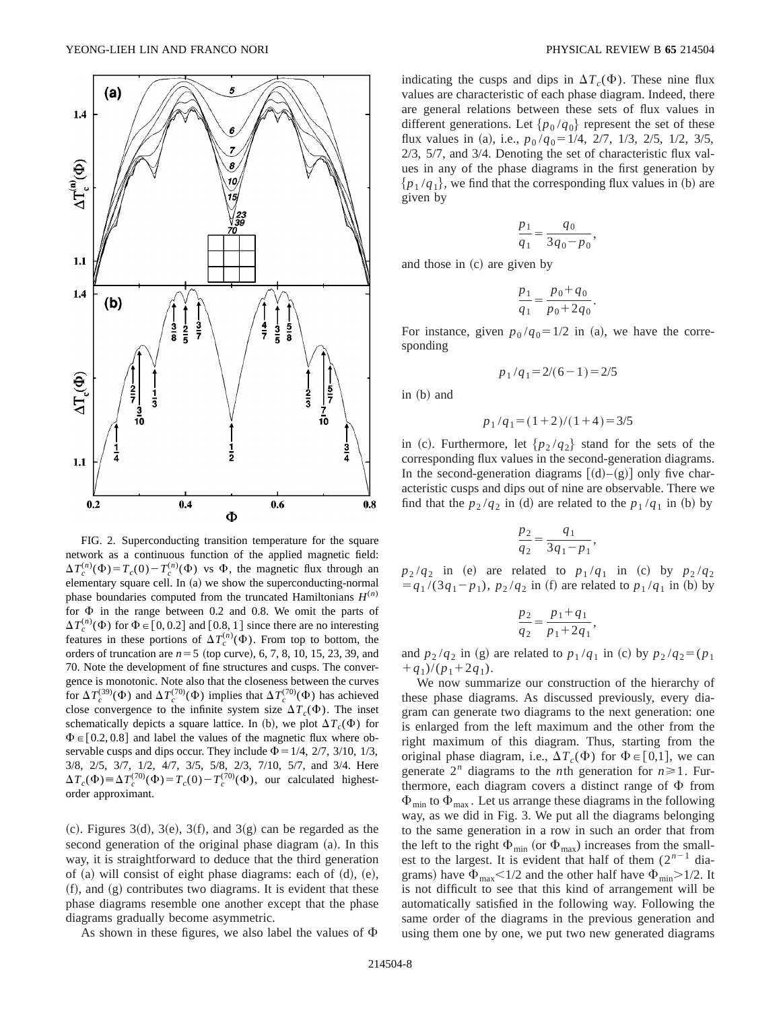

FIG. 2. Superconducting transition temperature for the square network as a continuous function of the applied magnetic field:  $\Delta T_c^{(n)}(\Phi) = T_c(0) - T_c^{(n)}(\Phi)$  vs  $\Phi$ , the magnetic flux through an elementary square cell. In (a) we show the superconducting-normal phase boundaries computed from the truncated Hamiltonians  $H^{(n)}$ for  $\Phi$  in the range between 0.2 and 0.8. We omit the parts of  $\Delta T_c^{(n)}(\Phi)$  for  $\Phi \in [0, 0.2]$  and  $[0.8, 1]$  since there are no interesting features in these portions of  $\Delta T_c^{(n)}(\Phi)$ . From top to bottom, the orders of truncation are  $n = 5$  (top curve), 6, 7, 8, 10, 15, 23, 39, and 70. Note the development of fine structures and cusps. The convergence is monotonic. Note also that the closeness between the curves for  $\Delta T_c^{(39)}(\Phi)$  and  $\Delta T_c^{(70)}(\Phi)$  implies that  $\Delta T_c^{(70)}(\Phi)$  has achieved close convergence to the infinite system size  $\Delta T_c(\Phi)$ . The inset schematically depicts a square lattice. In (b), we plot  $\Delta T_c(\Phi)$  for  $\Phi \in [0.2, 0.8]$  and label the values of the magnetic flux where observable cusps and dips occur. They include  $\Phi$  = 1/4, 2/7, 3/10, 1/3, 3/8, 2/5, 3/7, 1/2, 4/7, 3/5, 5/8, 2/3, 7/10, 5/7, and 3/4. Here  $\Delta T_c(\Phi) \equiv \Delta T_c^{(70)}(\Phi) = T_c(0) - T_c^{(70)}(\Phi)$ , our calculated highestorder approximant.

 $(c)$ . Figures 3 $(d)$ , 3 $(e)$ , 3 $(f)$ , and 3 $(g)$  can be regarded as the second generation of the original phase diagram (a). In this way, it is straightforward to deduce that the third generation of  $(a)$  will consist of eight phase diagrams: each of  $(d)$ ,  $(e)$ ,  $f(r)$ , and  $(g)$  contributes two diagrams. It is evident that these phase diagrams resemble one another except that the phase diagrams gradually become asymmetric.

As shown in these figures, we also label the values of  $\Phi$ 

indicating the cusps and dips in  $\Delta T_c(\Phi)$ . These nine flux values are characteristic of each phase diagram. Indeed, there are general relations between these sets of flux values in different generations. Let  $\{p_0/q_0\}$  represent the set of these flux values in (a), i.e.,  $p_0 / q_0 = 1/4$ , 2/7, 1/3, 2/5, 1/2, 3/5, 2/3, 5/7, and 3/4. Denoting the set of characteristic flux values in any of the phase diagrams in the first generation by  ${p_1 / q_1}$ , we find that the corresponding flux values in (b) are given by

$$
\frac{p_1}{q_1} = \frac{q_0}{3q_0 - p_0},
$$

and those in  $(c)$  are given by

$$
\frac{p_1}{q_1} = \frac{p_0 + q_0}{p_0 + 2q_0}.
$$

For instance, given  $p_0 / q_0 = 1/2$  in (a), we have the corresponding

$$
p_1/q_1 = 2/(6-1) = 2/5
$$

 $in (b)$  and

$$
p_1/q_1 = (1+2)/(1+4) = 3/5
$$

in (c). Furthermore, let  $\{p_2 / q_2\}$  stand for the sets of the corresponding flux values in the second-generation diagrams. In the second-generation diagrams  $[(d)–(g)]$  only five characteristic cusps and dips out of nine are observable. There we find that the  $p_2 / q_2$  in (d) are related to the  $p_1 / q_1$  in (b) by

$$
\frac{p_2}{q_2} = \frac{q_1}{3q_1 - p_1},
$$

 $p_2/q_2$  in (e) are related to  $p_1/q_1$  in (c) by  $p_2/q_2$  $= q_1 / (3q_1-p_1), p_2 / q_2$  in (f) are related to  $p_1 / q_1$  in (b) by

$$
\frac{p_2}{q_2} = \frac{p_1 + q_1}{p_1 + 2q_1},
$$

and  $p_2 / q_2$  in (g) are related to  $p_1 / q_1$  in (c) by  $p_2 / q_2 = (p_1)$  $+q_1$ )/( $p_1+2q_1$ ).

We now summarize our construction of the hierarchy of these phase diagrams. As discussed previously, every diagram can generate two diagrams to the next generation: one is enlarged from the left maximum and the other from the right maximum of this diagram. Thus, starting from the original phase diagram, i.e.,  $\Delta T_c(\Phi)$  for  $\Phi \in [0,1]$ , we can generate  $2^n$  diagrams to the *n*th generation for  $n \ge 1$ . Furthermore, each diagram covers a distinct range of  $\Phi$  from  $\Phi_{\text{min}}$  to  $\Phi_{\text{max}}$ . Let us arrange these diagrams in the following way, as we did in Fig. 3. We put all the diagrams belonging to the same generation in a row in such an order that from the left to the right  $\Phi_{min}$  (or  $\Phi_{max}$ ) increases from the smallest to the largest. It is evident that half of them  $(2^{n-1})$  diagrams) have  $\Phi_{\text{max}}$ <1/2 and the other half have  $\Phi_{\text{min}}$ >1/2. It is not difficult to see that this kind of arrangement will be automatically satisfied in the following way. Following the same order of the diagrams in the previous generation and using them one by one, we put two new generated diagrams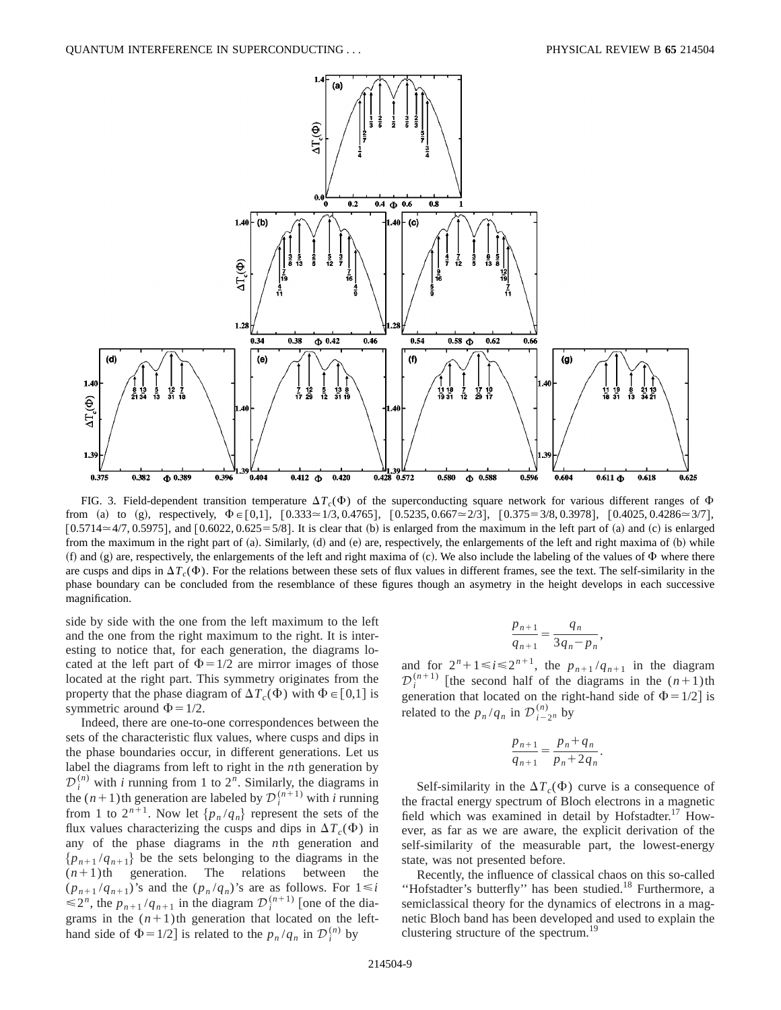

FIG. 3. Field-dependent transition temperature  $\Delta T_c(\Phi)$  of the superconducting square network for various different ranges of  $\Phi$ from (a) to (g), respectively,  $\Phi \in [0,1]$ ,  $[0.333 \approx 1/3, 0.4765]$ ,  $[0.5235, 0.667 \approx 2/3]$ ,  $[0.375 = 3/8, 0.3978]$ ,  $[0.4025, 0.4286 \approx 3/7]$ ,  $[0.5714 \approx 4/7, 0.5975]$ , and  $[0.6022, 0.625 = 5/8]$ . It is clear that (b) is enlarged from the maximum in the left part of (a) and (c) is enlarged from the maximum in the right part of  $(a)$ . Similarly,  $(d)$  and  $(e)$  are, respectively, the enlargements of the left and right maxima of  $(b)$  while (f) and  $(g)$  are, respectively, the enlargements of the left and right maxima of  $(c)$ . We also include the labeling of the values of  $\Phi$  where there are cusps and dips in  $\Delta T_c(\Phi)$ . For the relations between these sets of flux values in different frames, see the text. The self-similarity in the phase boundary can be concluded from the resemblance of these figures though an asymetry in the height develops in each successive magnification.

side by side with the one from the left maximum to the left and the one from the right maximum to the right. It is interesting to notice that, for each generation, the diagrams located at the left part of  $\Phi = 1/2$  are mirror images of those located at the right part. This symmetry originates from the property that the phase diagram of  $\Delta T_c(\Phi)$  with  $\Phi \in [0,1]$  is symmetric around  $\Phi$  = 1/2.

Indeed, there are one-to-one correspondences between the sets of the characteristic flux values, where cusps and dips in the phase boundaries occur, in different generations. Let us label the diagrams from left to right in the *n*th generation by  $\mathcal{D}_i^{(n)}$  with *i* running from 1 to  $2^n$ . Similarly, the diagrams in the  $(n+1)$ <sup>th</sup> generation are labeled by  $\mathcal{D}_i^{(n+1)}$  with *i* running from 1 to  $2^{n+1}$ . Now let  $\{p_n/q_n\}$  represent the sets of the flux values characterizing the cusps and dips in  $\Delta T_c(\Phi)$  in any of the phase diagrams in the *n*th generation and  ${p_{n+1}/q_{n+1}}$  be the sets belonging to the diagrams in the  $(n+1)$ th generation. The relations between the  $(p_{n+1}/q_{n+1})$ 's and the  $(p_n/q_n)$ 's are as follows. For  $1 \le i$  $\leq 2^n$ , the  $p_{n+1}/q_{n+1}$  in the diagram  $\mathcal{D}_i^{(n+1)}$  [one of the diagrams in the  $(n+1)$ th generation that located on the lefthand side of  $\Phi = 1/2$  is related to the  $p_n/q_n$  in  $\mathcal{D}_i^{(n)}$  by

$$
\frac{p_{n+1}}{q_{n+1}} = \frac{q_n}{3q_n - p_n}
$$

,

and for  $2^n + 1 \le i \le 2^{n+1}$ , the  $p_{n+1}/q_{n+1}$  in the diagram  $\mathcal{D}_i^{(n+1)}$  [the second half of the diagrams in the  $(n+1)$ th generation that located on the right-hand side of  $\Phi = 1/2$  is related to the  $p_n/q_n$  in  $\mathcal{D}_{i-2^n}^{(n)}$  by

$$
\frac{p_{n+1}}{q_{n+1}} = \frac{p_n + q_n}{p_n + 2q_n}.
$$

Self-similarity in the  $\Delta T_c(\Phi)$  curve is a consequence of the fractal energy spectrum of Bloch electrons in a magnetic field which was examined in detail by Hofstadter.<sup>17</sup> However, as far as we are aware, the explicit derivation of the self-similarity of the measurable part, the lowest-energy state, was not presented before.

Recently, the influence of classical chaos on this so-called "Hofstadter's butterfly" has been studied.<sup>18</sup> Furthermore, a semiclassical theory for the dynamics of electrons in a magnetic Bloch band has been developed and used to explain the clustering structure of the spectrum.<sup>19</sup>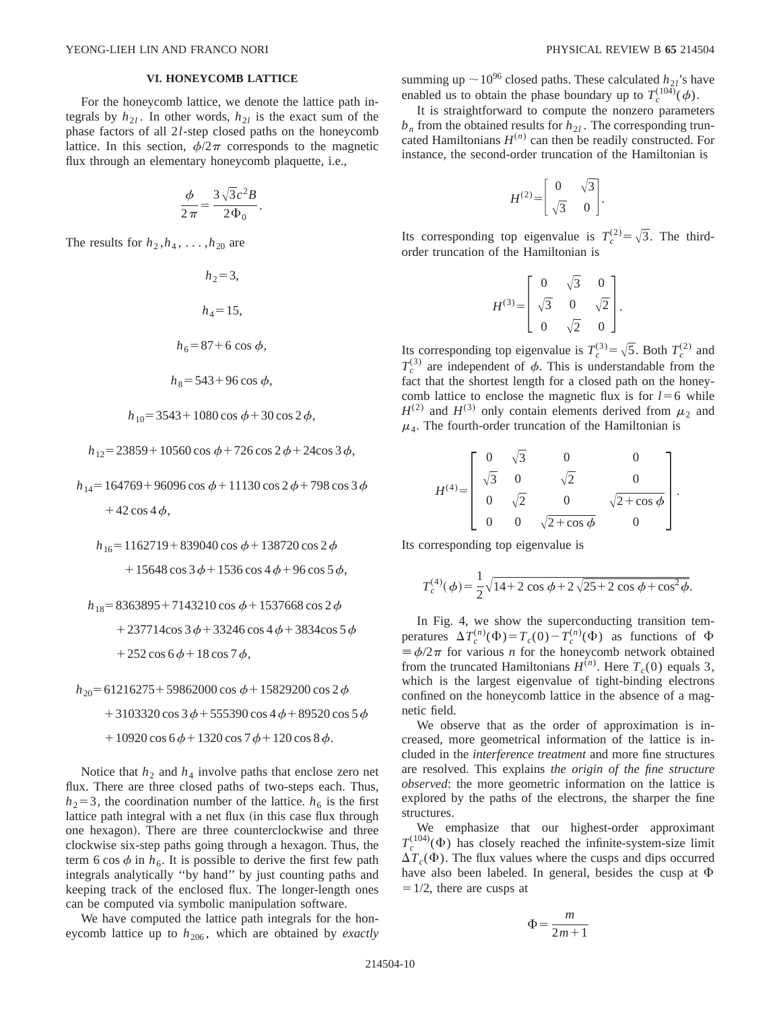## **VI. HONEYCOMB LATTICE**

For the honeycomb lattice, we denote the lattice path integrals by  $h_{2l}$ . In other words,  $h_{2l}$  is the exact sum of the phase factors of all 2*l*-step closed paths on the honeycomb lattice. In this section,  $\phi/2\pi$  corresponds to the magnetic flux through an elementary honeycomb plaquette, i.e.,

$$
\frac{\phi}{2\pi} = \frac{3\sqrt{3}c^2B}{2\Phi_0}.
$$

The results for  $h_2$ , $h_4$ , ..., $h_{20}$  are

$$
h_2 = 3,
$$
  
\n
$$
h_4 = 15,
$$
  
\n
$$
h_6 = 87 + 6 \cos \phi,
$$
  
\n
$$
h_8 = 543 + 96 \cos \phi,
$$
  
\n
$$
h_{10} = 3543 + 1080 \cos \phi + 30 \cos 2 \phi,
$$
  
\n
$$
h_{12} = 23859 + 10560 \cos \phi + 726 \cos 2 \phi + 24 \cos 3 \phi,
$$

 $h_{14}$  = 164769 + 96096 cos  $\phi$  + 11130 cos 2 $\phi$  + 798 cos 3 $\phi$  $+42 \cos 4\phi$ ,

 $h_{16}$ =1162719+839040 cos  $\phi$ +138720 cos 2 $\phi$  $+15648 \cos 3 \phi + 1536 \cos 4 \phi + 96 \cos 5 \phi$ ,

 $h_{18} = 8363895 + 7143210 \cos \phi + 1537668 \cos 2 \phi$ 

 $+237714\cos 3\phi + 33246\cos 4\phi + 3834\cos 5\phi$ 

 $+252 \cos 6\phi + 18 \cos 7\phi$ ,

 $h_{20}$ =61216275 + 59862000 cos  $\phi$  + 15829200 cos 2 $\phi$ 

 $+3103320 \cos 3 \phi + 555390 \cos 4 \phi + 89520 \cos 5 \phi$ 

 $+10920 \cos 6\phi + 1320 \cos 7\phi + 120 \cos 8\phi.$ 

Notice that  $h_2$  and  $h_4$  involve paths that enclose zero net flux. There are three closed paths of two-steps each. Thus,  $h_2$ =3, the coordination number of the lattice.  $h_6$  is the first lattice path integral with a net flux (in this case flux through one hexagon). There are three counterclockwise and three clockwise six-step paths going through a hexagon. Thus, the term 6 cos  $\phi$  in  $h_6$ . It is possible to derive the first few path integrals analytically ''by hand'' by just counting paths and keeping track of the enclosed flux. The longer-length ones can be computed via symbolic manipulation software.

We have computed the lattice path integrals for the honeycomb lattice up to  $h_{206}$ , which are obtained by *exactly*  summing up  $\sim10^{96}$  closed paths. These calculated *h*<sub>2*l*</sub>'s have enabled us to obtain the phase boundary up to  $T_c^{(104)}(\phi)$ .

It is straightforward to compute the nonzero parameters  $b_n$  from the obtained results for  $h_{2l}$ . The corresponding truncated Hamiltonians  $H^{(n)}$  can then be readily constructed. For instance, the second-order truncation of the Hamiltonian is

$$
H^{(2)} = \begin{bmatrix} 0 & \sqrt{3} \\ \sqrt{3} & 0 \end{bmatrix}.
$$

Its corresponding top eigenvalue is  $T_c^{(2)} = \sqrt{3}$ . The thirdorder truncation of the Hamiltonian is

$$
H^{(3)} = \begin{bmatrix} 0 & \sqrt{3} & 0 \\ \sqrt{3} & 0 & \sqrt{2} \\ 0 & \sqrt{2} & 0 \end{bmatrix}.
$$

Its corresponding top eigenvalue is  $T_c^{(3)} = \sqrt{5}$ . Both  $T_c^{(2)}$  and  $T_c^{(3)}$  are independent of  $\phi$ . This is understandable from the fact that the shortest length for a closed path on the honeycomb lattice to enclose the magnetic flux is for  $l=6$  while  $H^{(2)}$  and  $H^{(3)}$  only contain elements derived from  $\mu_2$  and  $\mu_4$ . The fourth-order truncation of the Hamiltonian is

$$
H^{(4)} = \begin{bmatrix} 0 & \sqrt{3} & 0 & 0 \\ \sqrt{3} & 0 & \sqrt{2} & 0 \\ 0 & \sqrt{2} & 0 & \sqrt{2 + \cos \phi} \\ 0 & 0 & \sqrt{2 + \cos \phi} & 0 \end{bmatrix}.
$$

Its corresponding top eigenvalue is

$$
T_c^{(4)}(\phi) = \frac{1}{2}\sqrt{14 + 2\cos\phi + 2\sqrt{25 + 2\cos\phi + \cos^2\phi}}.
$$

In Fig. 4, we show the superconducting transition temperatures  $\Delta T_c^{(n)}(\Phi) = T_c(0) - T_c^{(n)}(\Phi)$  as functions of  $\Phi$  $\equiv \phi/2\pi$  for various *n* for the honeycomb network obtained from the truncated Hamiltonians  $H^{(n)}$ . Here  $T_c(0)$  equals 3, which is the largest eigenvalue of tight-binding electrons confined on the honeycomb lattice in the absence of a magnetic field.

We observe that as the order of approximation is increased, more geometrical information of the lattice is included in the *interference treatment* and more fine structures are resolved. This explains *the origin of the fine structure observed*: the more geometric information on the lattice is explored by the paths of the electrons, the sharper the fine structures.

We emphasize that our highest-order approximant  $T_c^{(104)}(\Phi)$  has closely reached the infinite-system-size limit  $\Delta T_c(\Phi)$ . The flux values where the cusps and dips occurred have also been labeled. In general, besides the cusp at  $\Phi$  $=1/2$ , there are cusps at

$$
\Phi = \frac{m}{2m+1}
$$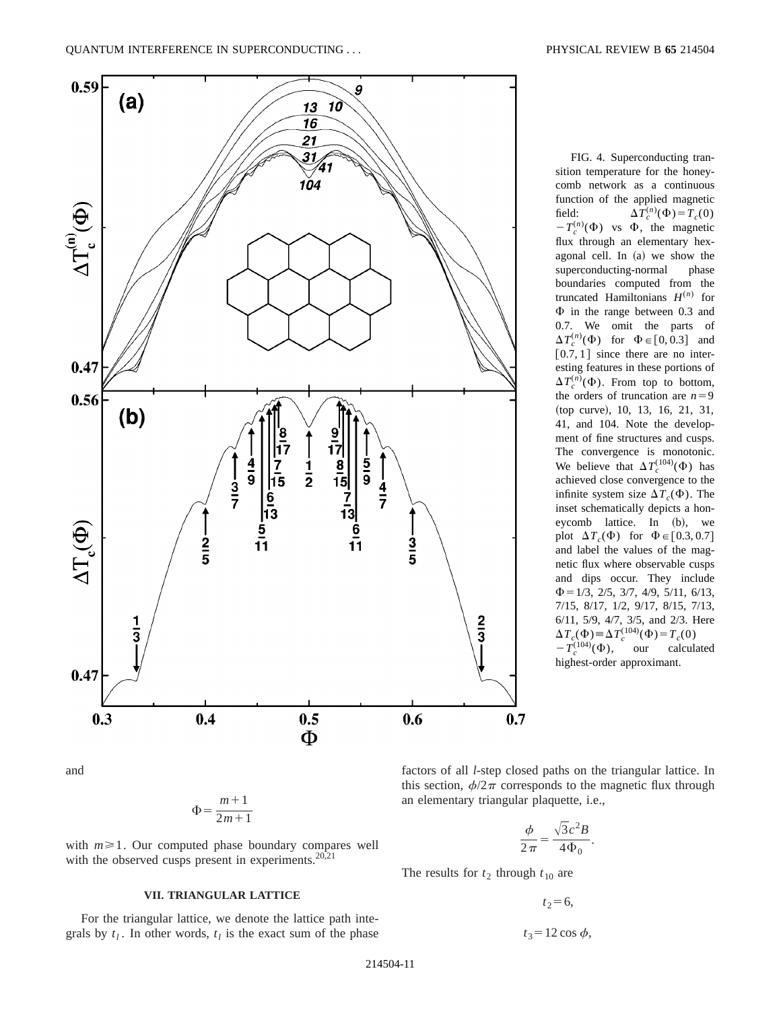

FIG. 4. Superconducting transition temperature for the honeycomb network as a continuous function of the applied magnetic field:  $\Delta T_c^{(n)}(\Phi) = T_c(0)$  $-T_c^{(n)}(\Phi)$  vs  $\Phi$ , the magnetic flux through an elementary hexagonal cell. In  $(a)$  we show the superconducting-normal phase boundaries computed from the truncated Hamiltonians  $H^{(n)}$  for  $\Phi$  in the range between 0.3 and 0.7. We omit the parts of  $\Delta T_c^{(n)}(\Phi)$  for  $\Phi \in [0, 0.3]$  and  $[0.7, 1]$  since there are no interesting features in these portions of  $\Delta T_c^{(n)}(\Phi)$ . From top to bottom, the orders of truncation are  $n=9$ (top curve), 10, 13, 16, 21, 31, 41, and 104. Note the development of fine structures and cusps. The convergence is monotonic. We believe that  $\Delta T_c^{(104)}(\Phi)$  has achieved close convergence to the infinite system size  $\Delta T_c(\Phi)$ . The inset schematically depicts a honeycomb lattice. In  $(b)$ , we plot  $\Delta T_c(\Phi)$  for  $\Phi \in [0.3, 0.7]$ and label the values of the magnetic flux where observable cusps and dips occur. They include  $\Phi$  = 1/3, 2/5, 3/7, 4/9, 5/11, 6/13, 7/15, 8/17, 1/2, 9/17, 8/15, 7/13, 6/11, 5/9, 4/7, 3/5, and 2/3. Here  $\Delta T_c(\Phi) \equiv \Delta T_c^{(104)}(\Phi) = T_c(0)$  $-T_c^{(104)}(\Phi)$ , our calculated highest-order approximant.

and

$$
\Phi = \frac{m+1}{2m+1}
$$

with  $m \geq 1$ . Our computed phase boundary compares well with the observed cusps present in experiments. $20,21$ 

### **VII. TRIANGULAR LATTICE**

For the triangular lattice, we denote the lattice path integrals by  $t_l$ . In other words,  $t_l$  is the exact sum of the phase factors of all *l*-step closed paths on the triangular lattice. In this section,  $\phi/2\pi$  corresponds to the magnetic flux through an elementary triangular plaquette, i.e.,

$$
\frac{\phi}{2\pi} = \frac{\sqrt{3}c^2B}{4\Phi_0}.
$$

The results for  $t_2$  through  $t_{10}$  are

 $t_2$ =6,

$$
t_3 = 12 \cos \phi,
$$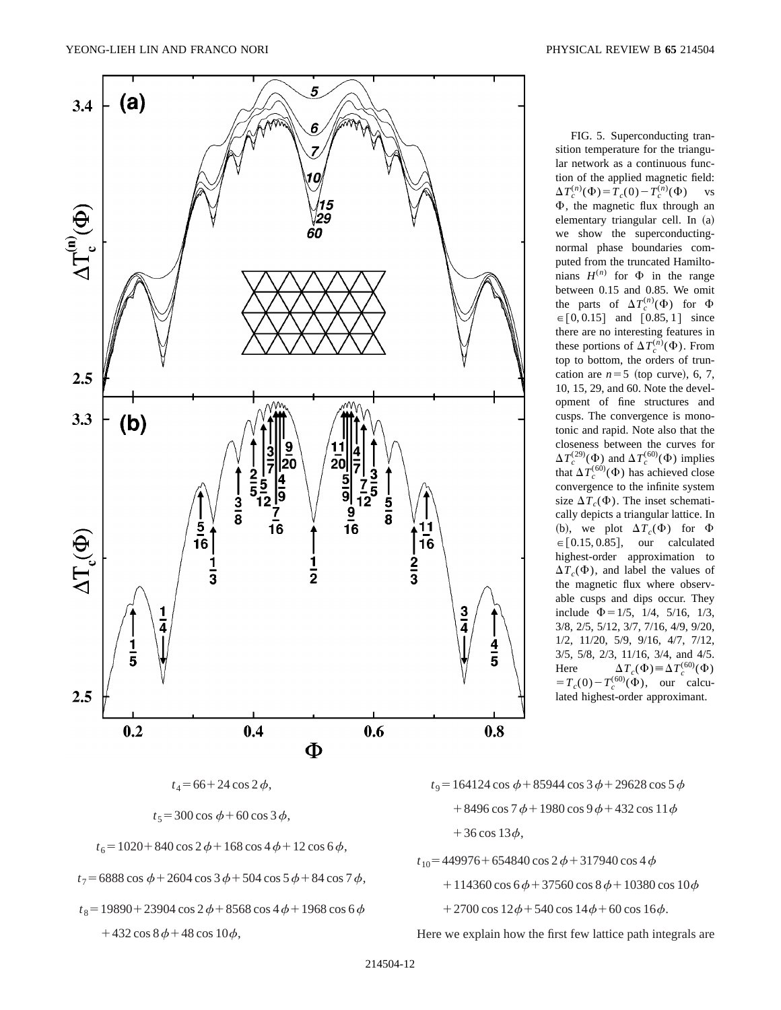

FIG. 5. Superconducting transition temperature for the triangular network as a continuous function of the applied magnetic field:  $\Delta T_c^{(n)}(\Phi) = T_c(0) - T_c^{(n)}(\Phi)$  vs  $\Phi$ , the magnetic flux through an elementary triangular cell. In (a) we show the superconductingnormal phase boundaries computed from the truncated Hamiltonians  $H^{(n)}$  for  $\Phi$  in the range between 0.15 and 0.85. We omit the parts of  $\Delta T_c^{(n)}(\Phi)$  for  $\Phi$  $\in [0, 0.15]$  and  $[0.85, 1]$  since there are no interesting features in these portions of  $\Delta T_c^{(n)}(\Phi)$ . From top to bottom, the orders of truncation are  $n=5$  (top curve), 6, 7, 10, 15, 29, and 60. Note the development of fine structures and cusps. The convergence is monotonic and rapid. Note also that the closeness between the curves for  $\Delta T_c^{(29)}(\Phi)$  and  $\Delta T_c^{(60)}(\Phi)$  implies that  $\Delta T_c^{(60)}(\Phi)$  has achieved close convergence to the infinite system size  $\Delta T_c(\Phi)$ . The inset schematically depicts a triangular lattice. In (b), we plot  $\Delta T_c(\Phi)$  for  $\Phi$  $\in [0.15, 0.85],$  our calculated highest-order approximation to  $\Delta T_c(\Phi)$ , and label the values of the magnetic flux where observable cusps and dips occur. They include  $\Phi$  = 1/5, 1/4, 5/16, 1/3, 3/8, 2/5, 5/12, 3/7, 7/16, 4/9, 9/20, 1/2, 11/20, 5/9, 9/16, 4/7, 7/12, 3/5, 5/8, 2/3, 11/16, 3/4, and 4/5. Here  $\Delta T_c(\Phi) \equiv \Delta T_c^{(60)}(\Phi)$  $=T_c(0)-T_c^{(60)}(\Phi)$ , our calculated highest-order approximant.

 $t_5 = 300 \cos \phi + 60 \cos 3 \phi$ ,

 $t_6 = 1020 + 840 \cos 2 \phi + 168 \cos 4 \phi + 12 \cos 6 \phi$ ,

 $t_7$  = 6888 cos  $\phi$  + 2604 cos 3 $\phi$  + 504 cos 5 $\phi$  + 84 cos 7 $\phi$ ,

 $t_8$  = 19890 + 23904 cos 2 $\phi$  + 8568 cos 4 $\phi$  + 1968 cos 6 $\phi$  $+432 \cos 8\phi + 48 \cos 10\phi$ ,

 $t_9$  = 164124 cos  $\phi$  + 85944 cos 3 $\phi$  + 29628 cos 5 $\phi$  $+8496 \cos 7\phi + 1980 \cos 9\phi + 432 \cos 11\phi$ +36 cos  $13\phi$ ,

 $t_{10}$  = 449976 + 654840 cos 2 $\phi$  + 317940 cos 4 $\phi$ 

 $+114360 \cos 6\phi + 37560 \cos 8\phi + 10380 \cos 10\phi$ 

 $+2700 \cos 12\phi + 540 \cos 14\phi + 60 \cos 16\phi.$ 

Here we explain how the first few lattice path integrals are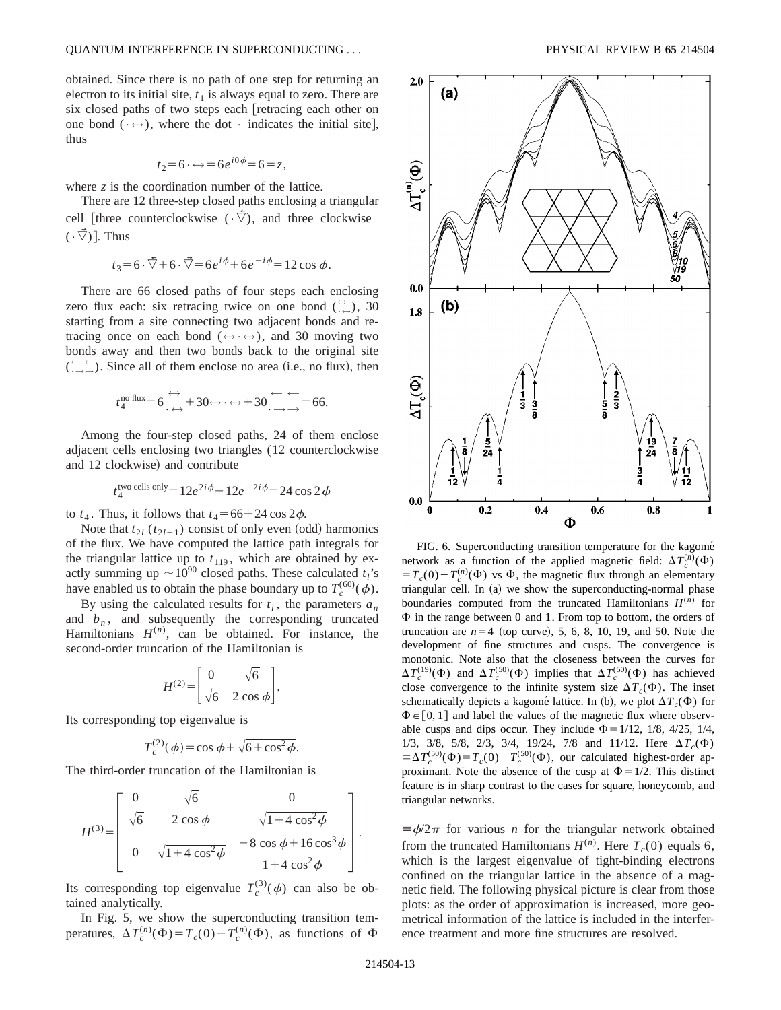obtained. Since there is no path of one step for returning an electron to its initial site,  $t_1$  is always equal to zero. There are six closed paths of two steps each [retracing each other on one bond ( $\leftrightarrow$ ), where the dot  $\cdot$  indicates the initial site], thus

$$
t_2=6 \cdot \leftrightarrow =6e^{i0\phi}=6=z,
$$

where *z* is the coordination number of the lattice.

There are 12 three-step closed paths enclosing a triangular cell [three counterclockwise  $({\cdot \nabla})$ , and three clockwise  $(\cdot \vec{\nabla})$ . Thus

$$
t_3 = 6 \cdot \overline{\nabla} + 6 \cdot \overline{\nabla} = 6e^{i\phi} + 6e^{-i\phi} = 12 \cos \phi.
$$

There are 66 closed paths of four steps each enclosing zero flux each: six retracing twice on one bond  $(\overset{\leftrightarrow}{\cdot}_{\leftrightarrow})$ , 30 starting from a site connecting two adjacent bonds and retracing once on each bond ( $\Leftrightarrow \cdots$ ), and 30 moving two bonds away and then two bonds back to the original site  $(\overline{\cdots} \rightarrow)$ . Since all of them enclose no area (i.e., no flux), then

$$
t_4^{\text{no flux}} = 6 \underset{\longleftrightarrow}{\longleftrightarrow} +30 \longleftrightarrow \longleftrightarrow +30 \underset{\longleftrightarrow}{\longleftrightarrow} =66.
$$

Among the four-step closed paths, 24 of them enclose adjacent cells enclosing two triangles (12 counterclockwise and 12 clockwise) and contribute

$$
t_4^{\text{two cells only}} = 12e^{2i\phi} + 12e^{-2i\phi} = 24\cos 2\phi
$$

to  $t_4$ . Thus, it follows that  $t_4 = 66 + 24 \cos 2\phi$ .

Note that  $t_{2l}$  ( $t_{2l+1}$ ) consist of only even (odd) harmonics of the flux. We have computed the lattice path integrals for the triangular lattice up to  $t_{119}$ , which are obtained by exactly summing up  $\sim 10^{90}$  closed paths. These calculated  $t_i$ 's have enabled us to obtain the phase boundary up to  $T_c^{(60)}(\phi)$ .

By using the calculated results for  $t_l$ , the parameters  $a_n$ and  $b_n$ , and subsequently the corresponding truncated Hamiltonians  $H^{(n)}$ , can be obtained. For instance, the second-order truncation of the Hamiltonian is

$$
H^{(2)} = \begin{bmatrix} 0 & \sqrt{6} \\ \sqrt{6} & 2\cos\phi \end{bmatrix}.
$$

Its corresponding top eigenvalue is

$$
T_c^{(2)}(\phi) = \cos \phi + \sqrt{6 + \cos^2 \phi}.
$$

The third-order truncation of the Hamiltonian is

$$
H^{(3)} = \begin{bmatrix} 0 & \sqrt{6} & 0 \\ \sqrt{6} & 2\cos\phi & \sqrt{1+4\cos^2\phi} \\ 0 & \sqrt{1+4\cos^2\phi} & \frac{-8\cos\phi+16\cos^3\phi}{1+4\cos^2\phi} \end{bmatrix}.
$$

Its corresponding top eigenvalue  $T_c^{(3)}(\phi)$  can also be obtained analytically.

In Fig. 5, we show the superconducting transition temperatures,  $\Delta T_c^{(n)}(\Phi) = T_c(0) - T_c^{(n)}(\Phi)$ , as functions of  $\Phi$ 



FIG. 6. Superconducting transition temperature for the kagomé network as a function of the applied magnetic field:  $\Delta T_c^{(n)}(\Phi)$  $T_c(0) - T_c^{(n)}(\Phi)$  vs  $\Phi$ , the magnetic flux through an elementary triangular cell. In  $(a)$  we show the superconducting-normal phase boundaries computed from the truncated Hamiltonians  $H^{(n)}$  for  $\Phi$  in the range between 0 and 1. From top to bottom, the orders of truncation are  $n=4$  (top curve), 5, 6, 8, 10, 19, and 50. Note the development of fine structures and cusps. The convergence is monotonic. Note also that the closeness between the curves for  $\Delta T_c^{(19)}(\Phi)$  and  $\Delta T_c^{(50)}(\Phi)$  implies that  $\Delta T_c^{(50)}(\Phi)$  has achieved close convergence to the infinite system size  $\Delta T_c(\Phi)$ . The inset schematically depicts a kagome<sup></sup> lattice. In (b), we plot  $\Delta T_c(\Phi)$  for  $\Phi \in [0, 1]$  and label the values of the magnetic flux where observable cusps and dips occur. They include  $\Phi$  = 1/12, 1/8, 4/25, 1/4, 1/3, 3/8, 5/8, 2/3, 3/4, 19/24, 7/8 and 11/12. Here  $\Delta T_c(\Phi)$  $\equiv \Delta T_c^{(50)}(\Phi) = T_c(0) - T_c^{(50)}(\Phi)$ , our calculated highest-order approximant. Note the absence of the cusp at  $\Phi = 1/2$ . This distinct feature is in sharp contrast to the cases for square, honeycomb, and triangular networks.

 $\equiv \phi/2\pi$  for various *n* for the triangular network obtained from the truncated Hamiltonians  $H^{(n)}$ . Here  $T_c(0)$  equals 6, which is the largest eigenvalue of tight-binding electrons confined on the triangular lattice in the absence of a magnetic field. The following physical picture is clear from those plots: as the order of approximation is increased, more geometrical information of the lattice is included in the interference treatment and more fine structures are resolved.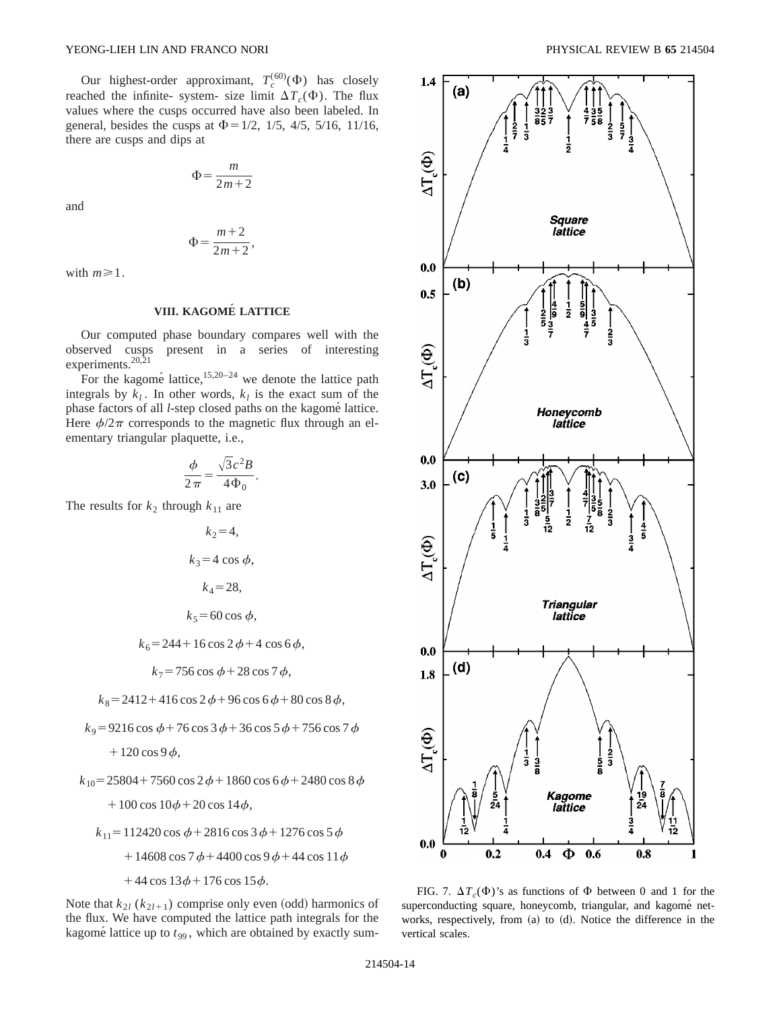Our highest-order approximant,  $T_c^{(60)}(\Phi)$  has closely reached the infinite- system- size limit  $\Delta T_c(\Phi)$ . The flux values where the cusps occurred have also been labeled. In general, besides the cusps at  $\Phi = 1/2$ , 1/5, 4/5, 5/16, 11/16, there are cusps and dips at

$$
\Phi = \frac{m}{2m+2}
$$

and

$$
\Phi = \frac{m+2}{2m+2},
$$

with  $m \geq 1$ .

# **VIII. KAGOME´ LATTICE**

Our computed phase boundary compares well with the observed cusps present in a series of interesting experiments.<sup>20,21</sup>

For the kagomé lattice, $15,20-24$  we denote the lattice path integrals by  $k_l$ . In other words,  $k_l$  is the exact sum of the phase factors of all *l*-step closed paths on the kagomé lattice. Here  $\phi/2\pi$  corresponds to the magnetic flux through an elementary triangular plaquette, i.e.,

$$
\frac{\phi}{2\pi} = \frac{\sqrt{3}c^2B}{4\Phi_0}.
$$

The results for  $k_2$  through  $k_{11}$  are

$$
k_2 = 4,
$$
  
\n
$$
k_3 = 4 \cos \phi,
$$
  
\n
$$
k_4 = 28,
$$
  
\n
$$
k_5 = 60 \cos \phi,
$$

$$
k_6 = 244 + 16 \cos 2\phi + 4 \cos 6\phi,
$$

$$
k_7 = 756 \cos \phi + 28 \cos 7 \phi,
$$

 $k_8 = 2412 + 416 \cos 2 \phi + 96 \cos 6 \phi + 80 \cos 8 \phi$ ,

 $k_9 = 9216 \cos \phi + 76 \cos 3 \phi + 36 \cos 5 \phi + 756 \cos 7 \phi$ 

 $+120 \cos 9 \phi$ ,

$$
k_{10} = 25804 + 7560 \cos 2 \phi + 1860 \cos 6 \phi + 2480 \cos 8 \phi
$$

 $+100 \cos 10\phi + 20 \cos 14\phi$ ,

$$
k_{11} = 112420 \cos \phi + 2816 \cos 3 \phi + 1276 \cos 5 \phi
$$

- $+14608 \cos 7 \phi + 4400 \cos 9 \phi + 44 \cos 11 \phi$
- $+44 \cos 13\phi + 176 \cos 15\phi.$

Note that  $k_{2l}$  ( $k_{2l+1}$ ) comprise only even (odd) harmonics of the flux. We have computed the lattice path integrals for the kagomé lattice up to  $t_{99}$ , which are obtained by exactly sum-



FIG. 7.  $\Delta T_c(\Phi)$ 's as functions of  $\Phi$  between 0 and 1 for the superconducting square, honeycomb, triangular, and kagomé networks, respectively, from (a) to (d). Notice the difference in the vertical scales.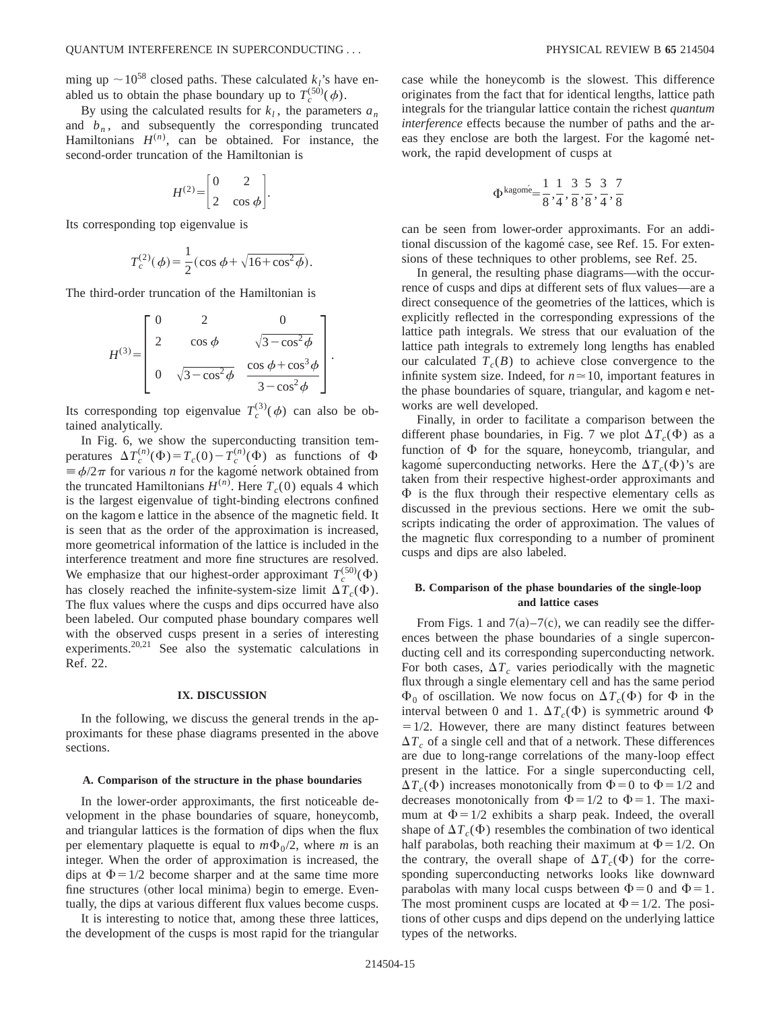ming up  $\sim$ 10<sup>58</sup> closed paths. These calculated *k*<sub>l</sub>'s have enabled us to obtain the phase boundary up to  $T_c^{(50)}(\phi)$ .

By using the calculated results for  $k_l$ , the parameters  $a_n$ and  $b_n$ , and subsequently the corresponding truncated Hamiltonians  $H^{(n)}$ , can be obtained. For instance, the second-order truncation of the Hamiltonian is

$$
H^{(2)} = \begin{bmatrix} 0 & 2 \\ 2 & \cos \phi \end{bmatrix}.
$$

Its corresponding top eigenvalue is

$$
T_c^{(2)}(\phi) = \frac{1}{2} (\cos \phi + \sqrt{16 + \cos^2 \phi}).
$$

The third-order truncation of the Hamiltonian is

$$
H^{(3)} = \begin{bmatrix} 0 & 2 & 0 \\ 2 & \cos \phi & \sqrt{3 - \cos^2 \phi} \\ 0 & \sqrt{3 - \cos^2 \phi} & \frac{\cos \phi + \cos^3 \phi}{3 - \cos^2 \phi} \end{bmatrix}.
$$

Its corresponding top eigenvalue  $T_c^{(3)}(\phi)$  can also be obtained analytically.

In Fig. 6, we show the superconducting transition temperatures  $\Delta T_c^{(n)}(\Phi) = T_c(0) - T_c^{(n)}(\Phi)$  as functions of  $\Phi$  $\equiv \phi/2\pi$  for various *n* for the kagome<sup> $\acute{e}$ </sup> network obtained from the truncated Hamiltonians  $H^{(n)}$ . Here  $T_c(0)$  equals 4 which is the largest eigenvalue of tight-binding electrons confined on the kagom e lattice in the absence of the magnetic field. It is seen that as the order of the approximation is increased, more geometrical information of the lattice is included in the interference treatment and more fine structures are resolved. We emphasize that our highest-order approximant  $T_c^{(50)}(\Phi)$ has closely reached the infinite-system-size limit  $\Delta T_c(\Phi)$ . The flux values where the cusps and dips occurred have also been labeled. Our computed phase boundary compares well with the observed cusps present in a series of interesting experiments.20,21 See also the systematic calculations in Ref. 22.

### **IX. DISCUSSION**

In the following, we discuss the general trends in the approximants for these phase diagrams presented in the above sections.

#### **A. Comparison of the structure in the phase boundaries**

In the lower-order approximants, the first noticeable development in the phase boundaries of square, honeycomb, and triangular lattices is the formation of dips when the flux per elementary plaquette is equal to  $m\Phi_0/2$ , where *m* is an integer. When the order of approximation is increased, the dips at  $\Phi$ =1/2 become sharper and at the same time more fine structures (other local minima) begin to emerge. Eventually, the dips at various different flux values become cusps.

It is interesting to notice that, among these three lattices, the development of the cusps is most rapid for the triangular case while the honeycomb is the slowest. This difference originates from the fact that for identical lengths, lattice path integrals for the triangular lattice contain the richest *quantum interference* effects because the number of paths and the areas they enclose are both the largest. For the kagome<sup></sup> network, the rapid development of cusps at

$$
\Phi^{\text{kagom\'e}} = \frac{1}{8}, \frac{1}{4}, \frac{3}{8}, \frac{5}{8}, \frac{3}{4}, \frac{7}{8}
$$

can be seen from lower-order approximants. For an additional discussion of the kagomé case, see Ref. 15. For extensions of these techniques to other problems, see Ref. 25.

In general, the resulting phase diagrams—with the occurrence of cusps and dips at different sets of flux values—are a direct consequence of the geometries of the lattices, which is explicitly reflected in the corresponding expressions of the lattice path integrals. We stress that our evaluation of the lattice path integrals to extremely long lengths has enabled our calculated  $T_c(B)$  to achieve close convergence to the infinite system size. Indeed, for  $n \approx 10$ , important features in the phase boundaries of square, triangular, and kagom e networks are well developed.

Finally, in order to facilitate a comparison between the different phase boundaries, in Fig. 7 we plot  $\Delta T_c(\Phi)$  as a function of  $\Phi$  for the square, honeycomb, triangular, and kagome<sup> $\epsilon$ </sup> superconducting networks. Here the  $\Delta T_c(\Phi)$ 's are taken from their respective highest-order approximants and  $\Phi$  is the flux through their respective elementary cells as discussed in the previous sections. Here we omit the subscripts indicating the order of approximation. The values of the magnetic flux corresponding to a number of prominent cusps and dips are also labeled.

## **B. Comparison of the phase boundaries of the single-loop and lattice cases**

From Figs. 1 and  $7(a) - 7(c)$ , we can readily see the differences between the phase boundaries of a single superconducting cell and its corresponding superconducting network. For both cases,  $\Delta T_c$  varies periodically with the magnetic flux through a single elementary cell and has the same period  $\Phi_0$  of oscillation. We now focus on  $\Delta T_c(\Phi)$  for  $\Phi$  in the interval between 0 and 1.  $\Delta T_c(\Phi)$  is symmetric around  $\Phi$  $=1/2$ . However, there are many distinct features between  $\Delta T_c$  of a single cell and that of a network. These differences are due to long-range correlations of the many-loop effect present in the lattice. For a single superconducting cell,  $\Delta T_c(\Phi)$  increases monotonically from  $\Phi$ =0 to  $\Phi$ =1/2 and decreases monotonically from  $\Phi = 1/2$  to  $\Phi = 1$ . The maximum at  $\Phi = 1/2$  exhibits a sharp peak. Indeed, the overall shape of  $\Delta T_c(\Phi)$  resembles the combination of two identical half parabolas, both reaching their maximum at  $\Phi$  = 1/2. On the contrary, the overall shape of  $\Delta T_c(\Phi)$  for the corresponding superconducting networks looks like downward parabolas with many local cusps between  $\Phi=0$  and  $\Phi=1$ . The most prominent cusps are located at  $\Phi = 1/2$ . The positions of other cusps and dips depend on the underlying lattice types of the networks.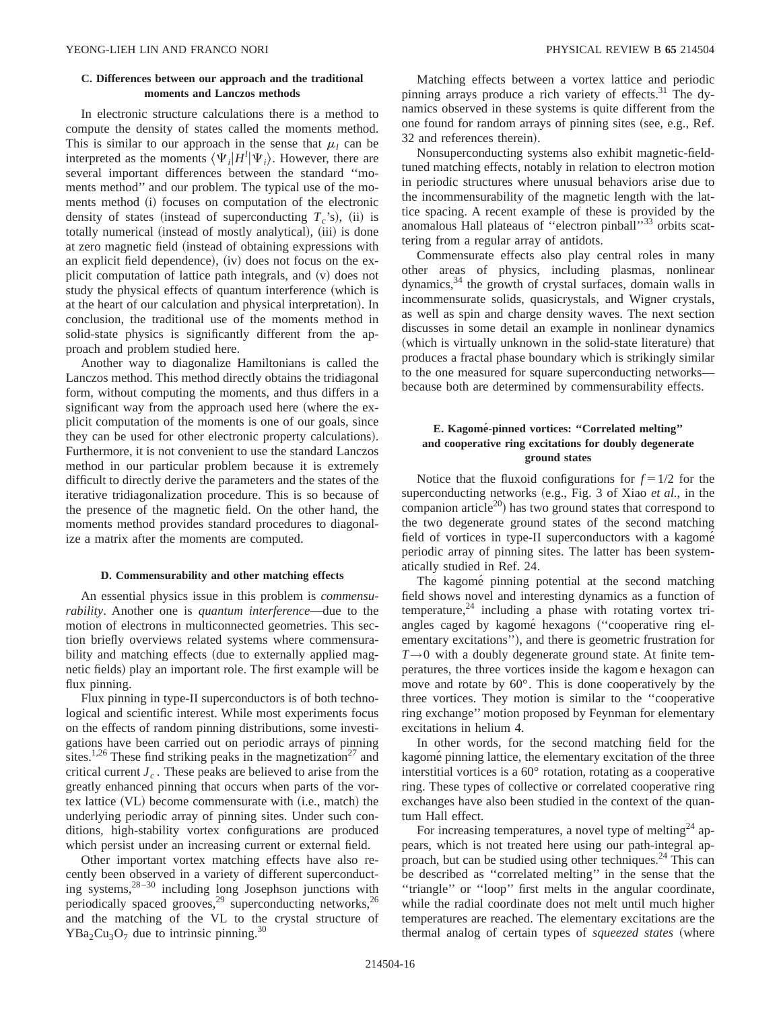## **C. Differences between our approach and the traditional moments and Lanczos methods**

In electronic structure calculations there is a method to compute the density of states called the moments method. This is similar to our approach in the sense that  $\mu_l$  can be interpreted as the moments  $\langle \Psi_i|H^l|\Psi_i\rangle$ . However, there are several important differences between the standard ''moments method'' and our problem. The typical use of the moments method (i) focuses on computation of the electronic density of states (instead of superconducting  $T_c$ 's), (ii) is totally numerical (instead of mostly analytical), (iii) is done at zero magnetic field (instead of obtaining expressions with an explicit field dependence),  $(iv)$  does not focus on the explicit computation of lattice path integrals, and  $(v)$  does not study the physical effects of quantum interference (which is at the heart of our calculation and physical interpretation). In conclusion, the traditional use of the moments method in solid-state physics is significantly different from the approach and problem studied here.

Another way to diagonalize Hamiltonians is called the Lanczos method. This method directly obtains the tridiagonal form, without computing the moments, and thus differs in a significant way from the approach used here (where the explicit computation of the moments is one of our goals, since they can be used for other electronic property calculations). Furthermore, it is not convenient to use the standard Lanczos method in our particular problem because it is extremely difficult to directly derive the parameters and the states of the iterative tridiagonalization procedure. This is so because of the presence of the magnetic field. On the other hand, the moments method provides standard procedures to diagonalize a matrix after the moments are computed.

## **D. Commensurability and other matching effects**

An essential physics issue in this problem is *commensurability*. Another one is *quantum interference*—due to the motion of electrons in multiconnected geometries. This section briefly overviews related systems where commensurability and matching effects (due to externally applied magnetic fields) play an important role. The first example will be flux pinning.

Flux pinning in type-II superconductors is of both technological and scientific interest. While most experiments focus on the effects of random pinning distributions, some investigations have been carried out on periodic arrays of pinning sites.<sup>1,26</sup> These find striking peaks in the magnetization<sup>27</sup> and critical current  $J_c$ . These peaks are believed to arise from the greatly enhanced pinning that occurs when parts of the vortex lattice  $(VL)$  become commensurate with  $(i.e., match)$  the underlying periodic array of pinning sites. Under such conditions, high-stability vortex configurations are produced which persist under an increasing current or external field.

Other important vortex matching effects have also recently been observed in a variety of different superconducting systems,28–30 including long Josephson junctions with periodically spaced grooves,<sup>29</sup> superconducting networks,<sup>26</sup> and the matching of the VL to the crystal structure of  $YBa<sub>2</sub>Cu<sub>3</sub>O<sub>7</sub>$  due to intrinsic pinning.<sup>30</sup>

Matching effects between a vortex lattice and periodic pinning arrays produce a rich variety of effects.<sup>31</sup> The dynamics observed in these systems is quite different from the one found for random arrays of pinning sites (see, e.g., Ref. 32 and references therein).

Nonsuperconducting systems also exhibit magnetic-fieldtuned matching effects, notably in relation to electron motion in periodic structures where unusual behaviors arise due to the incommensurability of the magnetic length with the lattice spacing. A recent example of these is provided by the anomalous Hall plateaus of "electron pinball"<sup>33</sup> orbits scattering from a regular array of antidots.

Commensurate effects also play central roles in many other areas of physics, including plasmas, nonlinear dynamics,<sup>34</sup> the growth of crystal surfaces, domain walls in incommensurate solids, quasicrystals, and Wigner crystals, as well as spin and charge density waves. The next section discusses in some detail an example in nonlinear dynamics (which is virtually unknown in the solid-state literature) that produces a fractal phase boundary which is strikingly similar to the one measured for square superconducting networks because both are determined by commensurability effects.

## **E. Kagome´-pinned vortices: ''Correlated melting'' and cooperative ring excitations for doubly degenerate ground states**

Notice that the fluxoid configurations for  $f = 1/2$  for the superconducting networks (e.g., Fig. 3 of Xiao *et al.*, in the companion article<sup>20</sup>) has two ground states that correspond to the two degenerate ground states of the second matching field of vortices in type-II superconductors with a kagomet periodic array of pinning sites. The latter has been systematically studied in Ref. 24.

The kagomé pinning potential at the second matching field shows novel and interesting dynamics as a function of temperature, $24$  including a phase with rotating vortex triangles caged by kagomé hexagons ("cooperative ring elementary excitations"), and there is geometric frustration for *T*→0 with a doubly degenerate ground state. At finite temperatures, the three vortices inside the kagom e hexagon can move and rotate by 60°. This is done cooperatively by the three vortices. They motion is similar to the ''cooperative ring exchange'' motion proposed by Feynman for elementary excitations in helium 4.

In other words, for the second matching field for the kagomé pinning lattice, the elementary excitation of the three interstitial vortices is a 60° rotation, rotating as a cooperative ring. These types of collective or correlated cooperative ring exchanges have also been studied in the context of the quantum Hall effect.

For increasing temperatures, a novel type of melting<sup>24</sup> appears, which is not treated here using our path-integral approach, but can be studied using other techniques.24 This can be described as ''correlated melting'' in the sense that the ''triangle'' or ''loop'' first melts in the angular coordinate, while the radial coordinate does not melt until much higher temperatures are reached. The elementary excitations are the thermal analog of certain types of *squeezed states* (where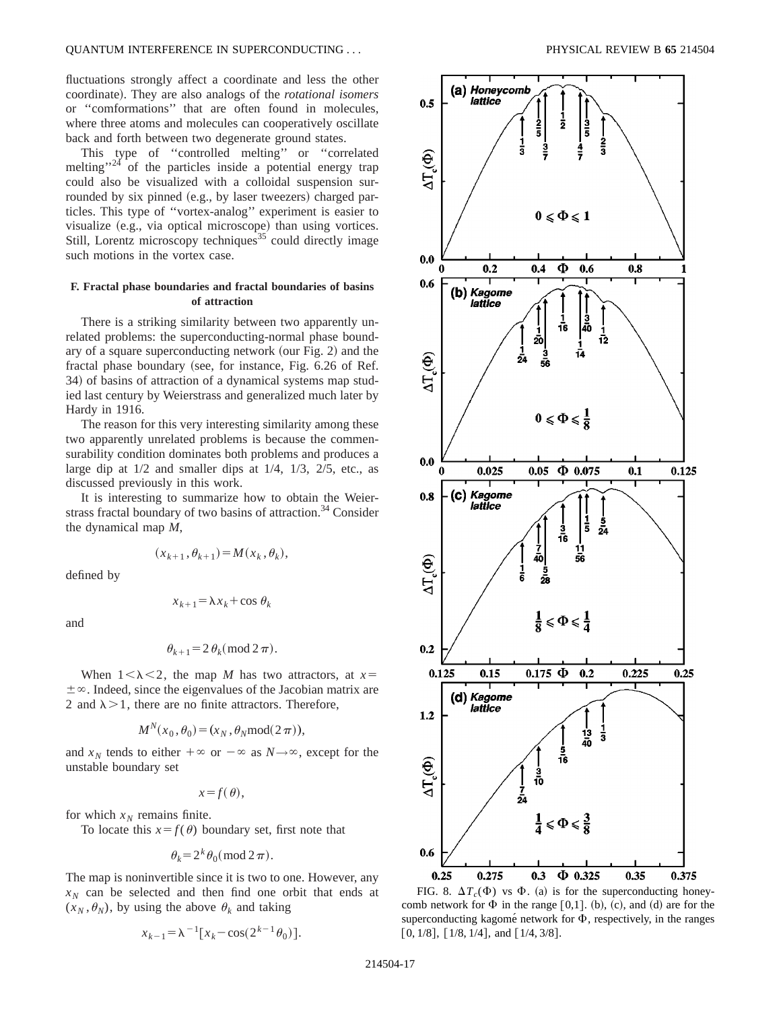fluctuations strongly affect a coordinate and less the other coordinate). They are also analogs of the *rotational isomers* or ''comformations'' that are often found in molecules, where three atoms and molecules can cooperatively oscillate back and forth between two degenerate ground states.

This type of ''controlled melting'' or ''correlated melting"<sup>24</sup> of the particles inside a potential energy trap could also be visualized with a colloidal suspension surrounded by six pinned (e.g., by laser tweezers) charged particles. This type of ''vortex-analog'' experiment is easier to visualize (e.g., via optical microscope) than using vortices. Still, Lorentz microscopy techniques<sup>35</sup> could directly image such motions in the vortex case.

## **F. Fractal phase boundaries and fractal boundaries of basins of attraction**

There is a striking similarity between two apparently unrelated problems: the superconducting-normal phase boundary of a square superconducting network (our Fig.  $2$ ) and the fractal phase boundary (see, for instance, Fig. 6.26 of Ref. 34) of basins of attraction of a dynamical systems map studied last century by Weierstrass and generalized much later by Hardy in 1916.

The reason for this very interesting similarity among these two apparently unrelated problems is because the commensurability condition dominates both problems and produces a large dip at  $1/2$  and smaller dips at  $1/4$ ,  $1/3$ ,  $2/5$ , etc., as discussed previously in this work.

It is interesting to summarize how to obtain the Weierstrass fractal boundary of two basins of attraction.<sup>34</sup> Consider the dynamical map *M*,

$$
(x_{k+1}, \theta_{k+1}) = M(x_k, \theta_k),
$$

defined by

$$
x_{k+1} = \lambda x_k + \cos \theta_k
$$

and

$$
\theta_{k+1} = 2 \theta_k \pmod{2 \pi}.
$$

When  $1<\lambda<2$ , the map *M* has two attractors, at  $x=$  $\pm \infty$ . Indeed, since the eigenvalues of the Jacobian matrix are 2 and  $\lambda > 1$ , there are no finite attractors. Therefore,

$$
M^N(x_0, \theta_0) = (x_N, \theta_N \text{mod}(2\pi)),
$$

and  $x_N$  tends to either  $+\infty$  or  $-\infty$  as  $N \rightarrow \infty$ , except for the unstable boundary set

$$
x = f(\theta),
$$

for which  $x_N$  remains finite.

To locate this  $x = f(\theta)$  boundary set, first note that

$$
\theta_k = 2^k \theta_0 \pmod{2\pi}.
$$

The map is noninvertible since it is two to one. However, any  $x_N$  can be selected and then find one orbit that ends at  $(x_N, \theta_N)$ , by using the above  $\theta_k$  and taking

$$
x_{k-1} = \lambda^{-1} [x_k - \cos(2^{k-1} \theta_0)].
$$



FIG. 8.  $\Delta T_c(\Phi)$  vs  $\Phi$ . (a) is for the superconducting honeycomb network for  $\Phi$  in the range [0,1]. (b), (c), and (d) are for the superconducting kagomé network for  $\Phi$ , respectively, in the ranges [0, 1/8], [1/8, 1/4], and [1/4, 3/8].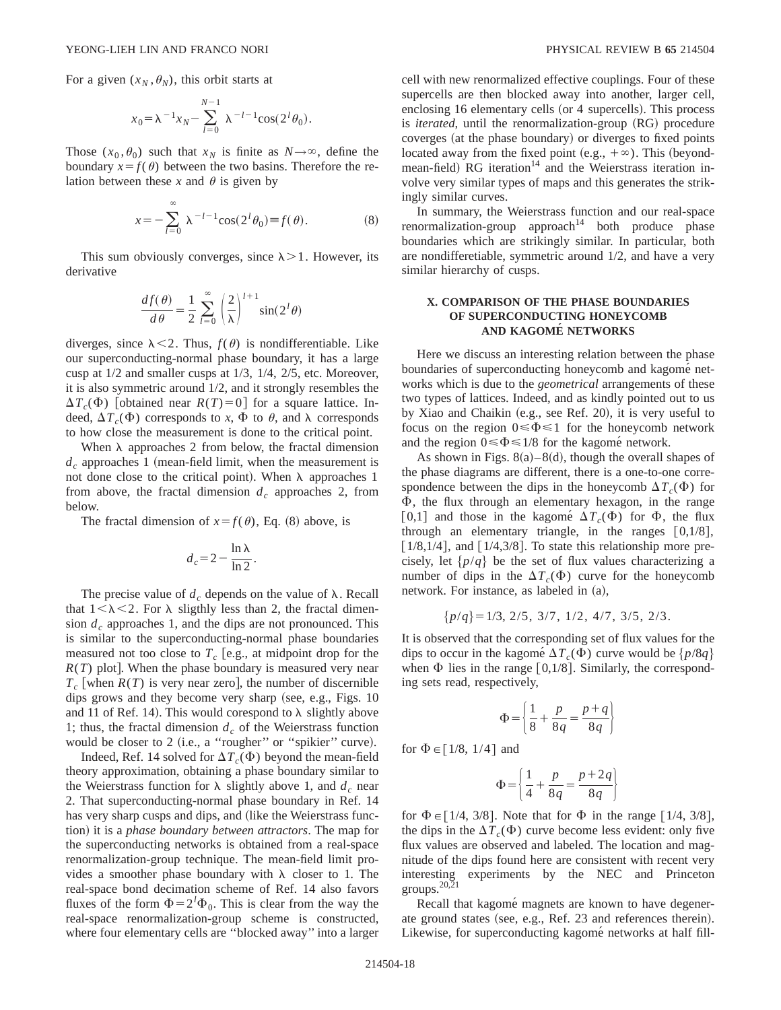For a given  $(x_N, \theta_N)$ , this orbit starts at

$$
x_0 = \lambda^{-1} x_N - \sum_{l=0}^{N-1} \lambda^{-l-1} \cos(2^l \theta_0).
$$

Those  $(x_0, \theta_0)$  such that  $x_N$  is finite as  $N \rightarrow \infty$ , define the boundary  $x = f(\theta)$  between the two basins. Therefore the relation between these x and  $\theta$  is given by

$$
x = -\sum_{l=0}^{\infty} \lambda^{-l-1} \cos(2^l \theta_0) \equiv f(\theta). \tag{8}
$$

This sum obviously converges, since  $\lambda > 1$ . However, its derivative

$$
\frac{df(\theta)}{d\theta} = \frac{1}{2} \sum_{l=0}^{\infty} \left(\frac{2}{\lambda}\right)^{l+1} \sin(2^l\theta)
$$

diverges, since  $\lambda < 2$ . Thus,  $f(\theta)$  is nondifferentiable. Like our superconducting-normal phase boundary, it has a large cusp at 1/2 and smaller cusps at 1/3, 1/4, 2/5, etc. Moreover, it is also symmetric around 1/2, and it strongly resembles the  $\Delta T_c(\Phi)$  [obtained near *R(T)*=0] for a square lattice. Indeed,  $\Delta T_c(\Phi)$  corresponds to *x*,  $\Phi$  to  $\theta$ , and  $\lambda$  corresponds to how close the measurement is done to the critical point.

When  $\lambda$  approaches 2 from below, the fractal dimension  $d_c$  approaches 1 (mean-field limit, when the measurement is not done close to the critical point). When  $\lambda$  approaches 1 from above, the fractal dimension  $d_c$  approaches 2, from below.

The fractal dimension of  $x = f(\theta)$ , Eq. (8) above, is

$$
d_c = 2 - \frac{\ln \lambda}{\ln 2}.
$$

The precise value of  $d_c$  depends on the value of  $\lambda$ . Recall that  $1<\lambda<2$ . For  $\lambda$  sligthly less than 2, the fractal dimension  $d_c$  approaches 1, and the dips are not pronounced. This is similar to the superconducting-normal phase boundaries measured not too close to  $T_c$  [e.g., at midpoint drop for the  $R(T)$  plot]. When the phase boundary is measured very near  $T_c$  when  $R(T)$  is very near zero, the number of discernible dips grows and they become very sharp (see, e.g., Figs.  $10$ and 11 of Ref. 14). This would corespond to  $\lambda$  slightly above 1; thus, the fractal dimension  $d_c$  of the Weierstrass function would be closer to 2 (i.e., a "rougher" or "spikier" curve).

Indeed, Ref. 14 solved for  $\Delta T_c(\Phi)$  beyond the mean-field theory approximation, obtaining a phase boundary similar to the Weierstrass function for  $\lambda$  slightly above 1, and  $d_c$  near 2. That superconducting-normal phase boundary in Ref. 14 has very sharp cusps and dips, and (like the Weierstrass function) it is a *phase boundary between attractors*. The map for the superconducting networks is obtained from a real-space renormalization-group technique. The mean-field limit provides a smoother phase boundary with  $\lambda$  closer to 1. The real-space bond decimation scheme of Ref. 14 also favors fluxes of the form  $\Phi = 2^l \Phi_0$ . This is clear from the way the real-space renormalization-group scheme is constructed, where four elementary cells are ''blocked away'' into a larger cell with new renormalized effective couplings. Four of these supercells are then blocked away into another, larger cell, enclosing 16 elementary cells (or 4 supercells). This process is *iterated*, until the renormalization-group (RG) procedure coverges (at the phase boundary) or diverges to fixed points located away from the fixed point (e.g.,  $+\infty$ ). This (beyondmean-field) RG iteration<sup>14</sup> and the Weierstrass iteration involve very similar types of maps and this generates the strikingly similar curves.

In summary, the Weierstrass function and our real-space  $renormalization-group approach<sup>14</sup> both produce phase$ boundaries which are strikingly similar. In particular, both are nondifferetiable, symmetric around 1/2, and have a very similar hierarchy of cusps.

## **X. COMPARISON OF THE PHASE BOUNDARIES OF SUPERCONDUCTING HONEYCOMB AND KAGOME´ NETWORKS**

Here we discuss an interesting relation between the phase boundaries of superconducting honeycomb and kagome networks which is due to the *geometrical* arrangements of these two types of lattices. Indeed, and as kindly pointed out to us by Xiao and Chaikin  $(e.g., see Ref. 20)$ , it is very useful to focus on the region  $0 \le \Phi \le 1$  for the honeycomb network and the region  $0 \le \Phi \le 1/8$  for the kagomé network.

As shown in Figs.  $8(a) - 8(d)$ , though the overall shapes of the phase diagrams are different, there is a one-to-one correspondence between the dips in the honeycomb  $\Delta T_c(\Phi)$  for  $\Phi$ , the flux through an elementary hexagon, in the range [0,1] and those in the kagome<sup> $\Delta T_c(\Phi)$ </sup> for  $\Phi$ , the flux through an elementary triangle, in the ranges  $[0,1/8]$ ,  $[1/8,1/4]$ , and  $[1/4,3/8]$ . To state this relationship more precisely, let  $\{p/q\}$  be the set of flux values characterizing a number of dips in the  $\Delta T_c(\Phi)$  curve for the honeycomb network. For instance, as labeled in  $(a)$ ,

$$
\{p/q\} = 1/3, \ 2/5, \ 3/7, \ 1/2, \ 4/7, \ 3/5, \ 2/3.
$$

It is observed that the corresponding set of flux values for the dips to occur in the kagomé  $\Delta T_c(\Phi)$  curve would be  $\{p/8q\}$ when  $\Phi$  lies in the range [0,1/8]. Similarly, the corresponding sets read, respectively,

$$
\Phi = \left(\frac{1}{8} + \frac{p}{8q} = \frac{p+q}{8q}\right)
$$

for  $\Phi \in [1/8, 1/4]$  and

$$
\Phi = \left\{ \frac{1}{4} + \frac{p}{8q} = \frac{p+2q}{8q} \right\}
$$

for  $\Phi \in [1/4, 3/8]$ . Note that for  $\Phi$  in the range  $[1/4, 3/8]$ , the dips in the  $\Delta T_c(\Phi)$  curve become less evident: only five flux values are observed and labeled. The location and magnitude of the dips found here are consistent with recent very interesting experiments by the NEC and Princeton groups. $20,21$ 

Recall that kagomé magnets are known to have degenerate ground states (see, e.g., Ref. 23 and references therein). Likewise, for superconducting kagomé networks at half fill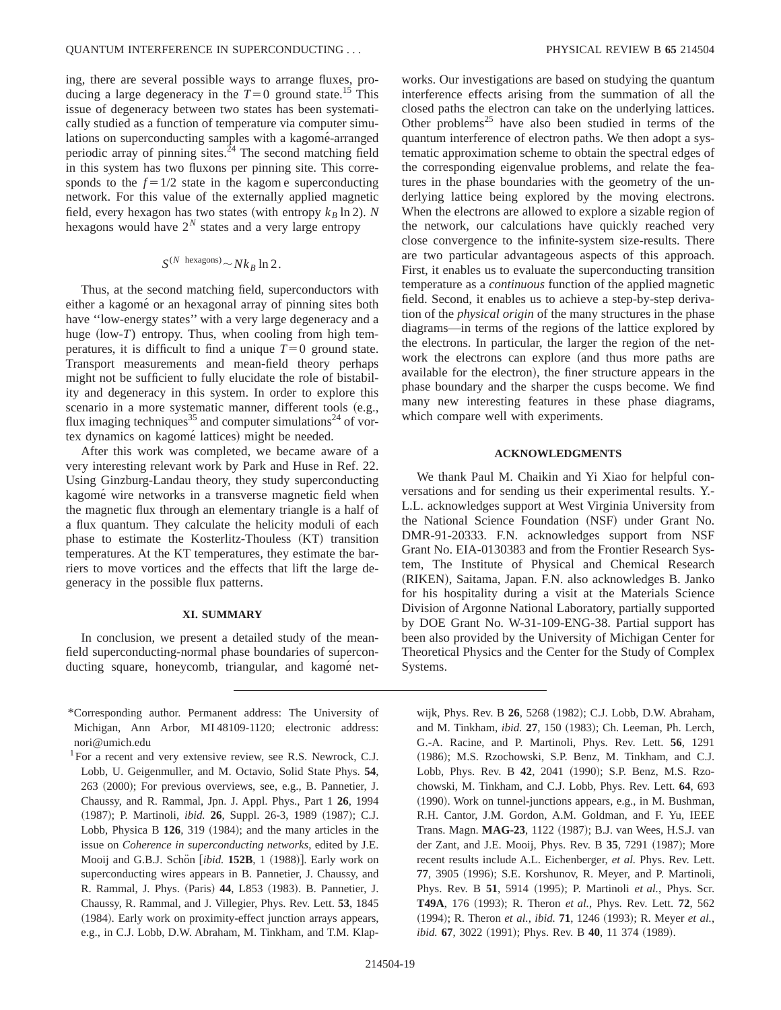ing, there are several possible ways to arrange fluxes, producing a large degeneracy in the  $T=0$  ground state.<sup>15</sup> This issue of degeneracy between two states has been systematically studied as a function of temperature via computer simulations on superconducting samples with a kagomé-arranged periodic array of pinning sites. $24$  The second matching field in this system has two fluxons per pinning site. This corresponds to the  $f = 1/2$  state in the kagome superconducting network. For this value of the externally applied magnetic field, every hexagon has two states (with entropy  $k_B \ln 2$ ). *N* hexagons would have  $2^N$  states and a very large entropy

$$
S^{(N \text{ hexagons})} \sim N k_B \ln 2.
$$

Thus, at the second matching field, superconductors with either a kagomé or an hexagonal array of pinning sites both have "low-energy states" with a very large degeneracy and a huge  $(low-T)$  entropy. Thus, when cooling from high temperatures, it is difficult to find a unique  $T=0$  ground state. Transport measurements and mean-field theory perhaps might not be sufficient to fully elucidate the role of bistability and degeneracy in this system. In order to explore this scenario in a more systematic manner, different tools (e.g., flux imaging techniques<sup>35</sup> and computer simulations<sup>24</sup> of vortex dynamics on kagomé lattices) might be needed.

After this work was completed, we became aware of a very interesting relevant work by Park and Huse in Ref. 22. Using Ginzburg-Landau theory, they study superconducting kagome´ wire networks in a transverse magnetic field when the magnetic flux through an elementary triangle is a half of a flux quantum. They calculate the helicity moduli of each phase to estimate the Kosterlitz-Thouless (KT) transition temperatures. At the KT temperatures, they estimate the barriers to move vortices and the effects that lift the large degeneracy in the possible flux patterns.

## **XI. SUMMARY**

In conclusion, we present a detailed study of the meanfield superconducting-normal phase boundaries of superconducting square, honeycomb, triangular, and kagomé net-

\*Corresponding author. Permanent address: The University of Michigan, Ann Arbor, MI 48109-1120; electronic address: nori@umich.edu

works. Our investigations are based on studying the quantum interference effects arising from the summation of all the closed paths the electron can take on the underlying lattices. Other problems<sup>25</sup> have also been studied in terms of the quantum interference of electron paths. We then adopt a systematic approximation scheme to obtain the spectral edges of the corresponding eigenvalue problems, and relate the features in the phase boundaries with the geometry of the underlying lattice being explored by the moving electrons. When the electrons are allowed to explore a sizable region of the network, our calculations have quickly reached very close convergence to the infinite-system size-results. There are two particular advantageous aspects of this approach. First, it enables us to evaluate the superconducting transition temperature as a *continuous* function of the applied magnetic field. Second, it enables us to achieve a step-by-step derivation of the *physical origin* of the many structures in the phase diagrams—in terms of the regions of the lattice explored by the electrons. In particular, the larger the region of the network the electrons can explore (and thus more paths are available for the electron), the finer structure appears in the phase boundary and the sharper the cusps become. We find many new interesting features in these phase diagrams, which compare well with experiments.

### **ACKNOWLEDGMENTS**

We thank Paul M. Chaikin and Yi Xiao for helpful conversations and for sending us their experimental results. Y.- L.L. acknowledges support at West Virginia University from the National Science Foundation (NSF) under Grant No. DMR-91-20333. F.N. acknowledges support from NSF Grant No. EIA-0130383 and from the Frontier Research System, The Institute of Physical and Chemical Research (RIKEN), Saitama, Japan. F.N. also acknowledges B. Janko for his hospitality during a visit at the Materials Science Division of Argonne National Laboratory, partially supported by DOE Grant No. W-31-109-ENG-38. Partial support has been also provided by the University of Michigan Center for Theoretical Physics and the Center for the Study of Complex Systems.

wijk, Phys. Rev. B 26, 5268 (1982); C.J. Lobb, D.W. Abraham, and M. Tinkham, *ibid.* 27, 150 (1983); Ch. Leeman, Ph. Lerch, G.-A. Racine, and P. Martinoli, Phys. Rev. Lett. **56**, 1291 (1986); M.S. Rzochowski, S.P. Benz, M. Tinkham, and C.J. Lobb, Phys. Rev. B 42, 2041 (1990); S.P. Benz, M.S. Rzochowski, M. Tinkham, and C.J. Lobb, Phys. Rev. Lett. **64**, 693 (1990). Work on tunnel-junctions appears, e.g., in M. Bushman, R.H. Cantor, J.M. Gordon, A.M. Goldman, and F. Yu, IEEE Trans. Magn. **MAG-23**, 1122 (1987); B.J. van Wees, H.S.J. van der Zant, and J.E. Mooij, Phys. Rev. B 35, 7291 (1987); More recent results include A.L. Eichenberger, *et al.* Phys. Rev. Lett. 77, 3905 (1996); S.E. Korshunov, R. Meyer, and P. Martinoli, Phys. Rev. B **51**, 5914 (1995); P. Martinoli *et al.*, Phys. Scr. **T49A**, 176 (1993); R. Theron *et al.*, Phys. Rev. Lett. **72**, 562 (1994); R. Theron et al., *ibid.* **71**, 1246 (1993); R. Meyer et al., *ibid.* **67**, 3022 (1991); Phys. Rev. B 40, 11 374 (1989).

<sup>&</sup>lt;sup>1</sup>For a recent and very extensive review, see R.S. Newrock, C.J. Lobb, U. Geigenmuller, and M. Octavio, Solid State Phys. **54**, 263 (2000); For previous overviews, see, e.g., B. Pannetier, J. Chaussy, and R. Rammal, Jpn. J. Appl. Phys., Part 1 **26**, 1994 (1987); P. Martinoli, *ibid.* **26**, Suppl. 26-3, 1989 (1987); C.J. Lobb, Physica B  $126$ ,  $319$   $(1984)$ ; and the many articles in the issue on *Coherence in superconducting networks*, edited by J.E. Mooij and G.B.J. Schön [ibid. 152B, 1 (1988)]. Early work on superconducting wires appears in B. Pannetier, J. Chaussy, and R. Rammal, J. Phys. (Paris) 44, L853 (1983). B. Pannetier, J. Chaussy, R. Rammal, and J. Villegier, Phys. Rev. Lett. **53**, 1845 (1984). Early work on proximity-effect junction arrays appears, e.g., in C.J. Lobb, D.W. Abraham, M. Tinkham, and T.M. Klap-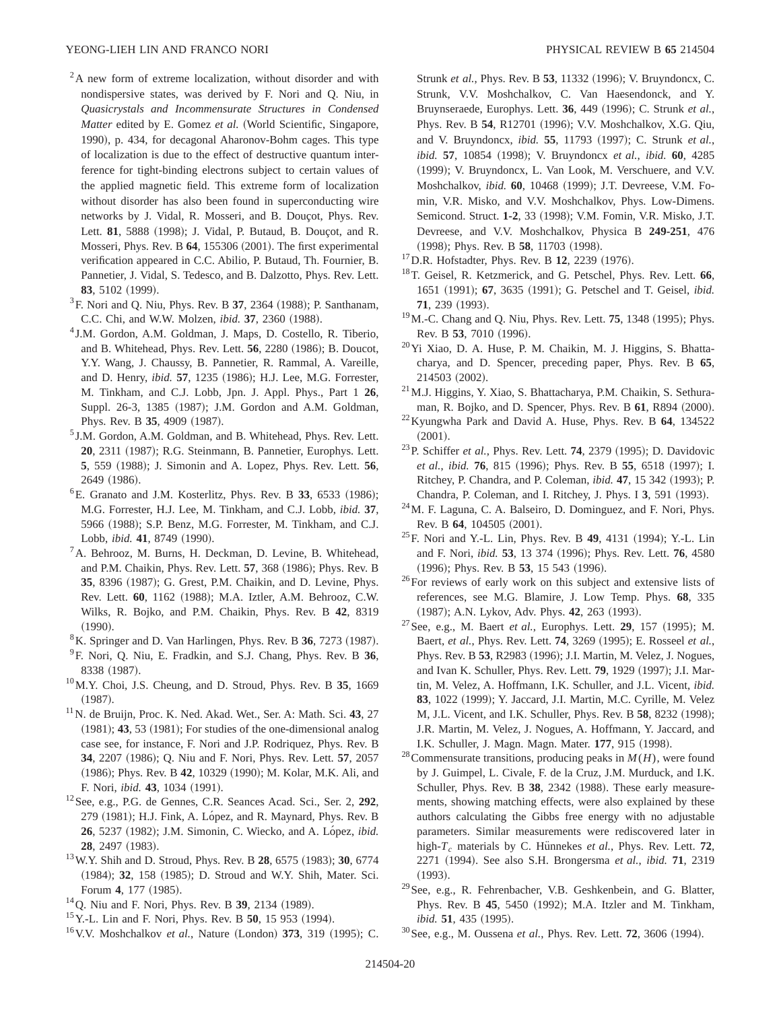- $2A$  new form of extreme localization, without disorder and with nondispersive states, was derived by F. Nori and Q. Niu, in *Quasicrystals and Incommensurate Structures in Condensed Matter* edited by E. Gomez *et al.* (World Scientific, Singapore, 1990), p. 434, for decagonal Aharonov-Bohm cages. This type of localization is due to the effect of destructive quantum interference for tight-binding electrons subject to certain values of the applied magnetic field. This extreme form of localization without disorder has also been found in superconducting wire networks by J. Vidal, R. Mosseri, and B. Doucot, Phys. Rev. Lett. **81**, 5888 (1998); J. Vidal, P. Butaud, B. Doucot, and R. Mosseri, Phys. Rev. B 64, 155306 (2001). The first experimental verification appeared in C.C. Abilio, P. Butaud, Th. Fournier, B. Pannetier, J. Vidal, S. Tedesco, and B. Dalzotto, Phys. Rev. Lett. **83**, 5102 (1999).
- ${}^{3}$ F. Nori and Q. Niu, Phys. Rev. B 37, 2364 (1988); P. Santhanam, C.C. Chi, and W.W. Molzen, *ibid.* **37**, 2360 (1988).
- <sup>4</sup> J.M. Gordon, A.M. Goldman, J. Maps, D. Costello, R. Tiberio, and B. Whitehead, Phys. Rev. Lett. **56**, 2280 (1986); B. Doucot, Y.Y. Wang, J. Chaussy, B. Pannetier, R. Rammal, A. Vareille, and D. Henry, *ibid.* 57, 1235 (1986); H.J. Lee, M.G. Forrester, M. Tinkham, and C.J. Lobb, Jpn. J. Appl. Phys., Part 1 **26**, Suppl. 26-3, 1385 (1987); J.M. Gordon and A.M. Goldman, Phys. Rev. B 35, 4909 (1987).
- <sup>5</sup> J.M. Gordon, A.M. Goldman, and B. Whitehead, Phys. Rev. Lett. **20**, 2311 (1987); R.G. Steinmann, B. Pannetier, Europhys. Lett. **5**, 559 (1988); J. Simonin and A. Lopez, Phys. Rev. Lett. **56**, 2649 (1986).
- ${}^{6}$ E. Granato and J.M. Kosterlitz, Phys. Rev. B 33, 6533  $(1986)$ ; M.G. Forrester, H.J. Lee, M. Tinkham, and C.J. Lobb, *ibid.* **37**, 5966 (1988); S.P. Benz, M.G. Forrester, M. Tinkham, and C.J. Lobb, *ibid.* 41, 8749 (1990).
- 7A. Behrooz, M. Burns, H. Deckman, D. Levine, B. Whitehead, and P.M. Chaikin, Phys. Rev. Lett. **57**, 368 (1986); Phys. Rev. B **35**, 8396 (1987); G. Grest, P.M. Chaikin, and D. Levine, Phys. Rev. Lett. 60, 1162 (1988); M.A. Iztler, A.M. Behrooz, C.W. Wilks, R. Bojko, and P.M. Chaikin, Phys. Rev. B **42**, 8319  $(1990).$
- ${}^{8}$ K. Springer and D. Van Harlingen, Phys. Rev. B 36, 7273 (1987).
- 9F. Nori, Q. Niu, E. Fradkin, and S.J. Chang, Phys. Rev. B **36**, 8338 (1987).
- 10M.Y. Choi, J.S. Cheung, and D. Stroud, Phys. Rev. B **35**, 1669  $(1987).$
- 11N. de Bruijn, Proc. K. Ned. Akad. Wet., Ser. A: Math. Sci. **43**, 27  $(1981);$  **43**, 53  $(1981);$  For studies of the one-dimensional analog case see, for instance, F. Nori and J.P. Rodriquez, Phys. Rev. B **34**, 2207 (1986); Q. Niu and F. Nori, Phys. Rev. Lett. **57**, 2057 (1986); Phys. Rev. B 42, 10329 (1990); M. Kolar, M.K. Ali, and F. Nori, *ibid.* **43**, 1034 (1991).
- 12See, e.g., P.G. de Gennes, C.R. Seances Acad. Sci., Ser. 2, **292**, 279 (1981); H.J. Fink, A. López, and R. Maynard, Phys. Rev. B 26, 5237 (1982); J.M. Simonin, C. Wiecko, and A. López, *ibid.* **28**, 2497 (1983).
- <sup>13</sup> W.Y. Shih and D. Stroud, Phys. Rev. B **28**, 6575 (1983); **30**, 6774 (1984); **32**, 158 (1985); D. Stroud and W.Y. Shih, Mater. Sci. Forum 4, 177 (1985).
- <sup>14</sup>Q. Niu and F. Nori, Phys. Rev. B **39**, 2134 (1989).
- <sup>15</sup> Y.-L. Lin and F. Nori, Phys. Rev. B **50**, 15 953 (1994).
- <sup>16</sup> V.V. Moshchalkov *et al.*, Nature (London) **373**, 319 (1995); C.

Strunk *et al.*, Phys. Rev. B **53**, 11332 (1996); V. Bruyndoncx, C. Strunk, V.V. Moshchalkov, C. Van Haesendonck, and Y. Bruynseraede, Europhys. Lett. 36, 449 (1996); C. Strunk et al., Phys. Rev. B 54, R12701 (1996); V.V. Moshchalkov, X.G. Qiu, and V. Bruyndoncx, *ibid.* 55, 11793 (1997); C. Strunk *et al.*, *ibid.* **57**, 10854 (1998); V. Bruyndoncx *et al.*, *ibid.* **60**, 4285 (1999); V. Bruyndoncx, L. Van Look, M. Verschuere, and V.V. Moshchalkov, *ibid.* **60**, 10468 (1999); J.T. Devreese, V.M. Fomin, V.R. Misko, and V.V. Moshchalkov, Phys. Low-Dimens. Semicond. Struct. **1-2**, 33 (1998); V.M. Fomin, V.R. Misko, J.T. Devreese, and V.V. Moshchalkov, Physica B **249-251**, 476 (1998); Phys. Rev. B 58, 11703 (1998).

- <sup>17</sup> D.R. Hofstadter, Phys. Rev. B **12**, 2239 (1976).
- 18T. Geisel, R. Ketzmerick, and G. Petschel, Phys. Rev. Lett. **66**, 1651 (1991); 67, 3635 (1991); G. Petschel and T. Geisel, *ibid.* **71**, 239 (1993).
- <sup>19</sup> M.-C. Chang and Q. Niu, Phys. Rev. Lett. **75**, 1348 (1995); Phys. Rev. B 53, 7010 (1996).
- 20Yi Xiao, D. A. Huse, P. M. Chaikin, M. J. Higgins, S. Bhattacharya, and D. Spencer, preceding paper, Phys. Rev. B **65**, 214503 (2002).
- 21M.J. Higgins, Y. Xiao, S. Bhattacharya, P.M. Chaikin, S. Sethuraman, R. Bojko, and D. Spencer, Phys. Rev. B 61, R894 (2000).
- 22Kyungwha Park and David A. Huse, Phys. Rev. B **64**, 134522  $(2001).$
- <sup>23</sup>P. Schiffer et al., Phys. Rev. Lett. **74**, 2379 (1995); D. Davidovic *et al., ibid.* **76**, 815 (1996); Phys. Rev. B **55**, 6518 (1997); I. Ritchey, P. Chandra, and P. Coleman, *ibid.* **47**, 15 342 (1993); P. Chandra, P. Coleman, and I. Ritchey, J. Phys. I 3, 591 (1993).
- 24M. F. Laguna, C. A. Balseiro, D. Dominguez, and F. Nori, Phys. Rev. B 64, 104505 (2001).
- <sup>25</sup>F. Nori and Y.-L. Lin, Phys. Rev. B **49**, 4131 (1994); Y.-L. Lin and F. Nori, *ibid.* 53, 13 374 (1996); Phys. Rev. Lett. 76, 4580 (1996); Phys. Rev. B 53, 15 543 (1996).
- <sup>26</sup>For reviews of early work on this subject and extensive lists of references, see M.G. Blamire, J. Low Temp. Phys. **68**, 335 (1987); A.N. Lykov, Adv. Phys. **42**, 263 (1993).
- <sup>27</sup> See, e.g., M. Baert *et al.*, Europhys. Lett. **29**, 157 (1995); M. Baert, *et al.*, *Phys. Rev. Lett.* **74**, 3269 (1995); E. Rosseel *et al.*, Phys. Rev. B 53, R2983 (1996); J.I. Martin, M. Velez, J. Nogues, and Ivan K. Schuller, Phys. Rev. Lett. **79**, 1929 (1997); J.I. Martin, M. Velez, A. Hoffmann, I.K. Schuller, and J.L. Vicent, *ibid.* 83, 1022 (1999); Y. Jaccard, J.I. Martin, M.C. Cyrille, M. Velez M, J.L. Vicent, and I.K. Schuller, Phys. Rev. B 58, 8232 (1998); J.R. Martin, M. Velez, J. Nogues, A. Hoffmann, Y. Jaccard, and I.K. Schuller, J. Magn. Magn. Mater. 177, 915 (1998).
- <sup>28</sup> Commensurate transitions, producing peaks in  $M(H)$ , were found by J. Guimpel, L. Civale, F. de la Cruz, J.M. Murduck, and I.K. Schuller, Phys. Rev. B 38, 2342 (1988). These early measurements, showing matching effects, were also explained by these authors calculating the Gibbs free energy with no adjustable parameters. Similar measurements were rediscovered later in high- $T_c$  materials by C. Hünnekes *et al.*, Phys. Rev. Lett. **72**, 2271 ~1994!. See also S.H. Brongersma *et al.*, *ibid.* **71**, 2319  $(1993).$
- 29See, e.g., R. Fehrenbacher, V.B. Geshkenbein, and G. Blatter, Phys. Rev. B 45, 5450 (1992); M.A. Itzler and M. Tinkham, *ibid.* **51**, 435 (1995).
- <sup>30</sup> See, e.g., M. Oussena *et al.*, Phys. Rev. Lett. **72**, 3606 (1994).